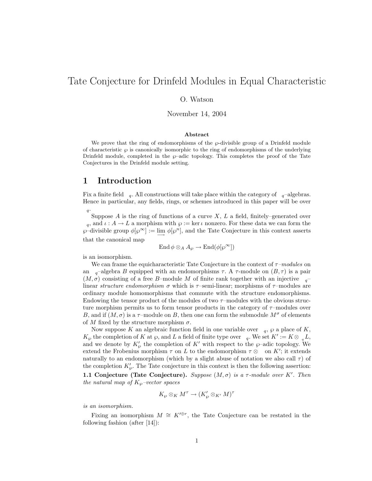# Tate Conjecture for Drinfeld Modules in Equal Characteristic

## O. Watson

November 14, 2004

#### Abstract

We prove that the ring of endomorphisms of the  $\varphi$ -divisible group of a Drinfeld module of characteristic  $\wp$  is canonically isomorphic to the ring of endomorphisms of the underlying Drinfeld module, completed in the  $\wp$ –adic topology. This completes the proof of the Tate Conjectures in the Drinfeld module setting.

# 1 Introduction

Fix a finite field  $_q$ . All constructions will take place within the category of  $_q$ –algebras. Hence in particular, any fields, rings, or schemes introduced in this paper will be over  $q\cdot$ 

Suppose  $A$  is the ring of functions of a curve  $X, L$  a field, finitely–generated over q, and  $\iota : A \to L$  a morphism with  $\wp := \ker \iota$  nonzero. For these data we can form the  $\wp$ -divisible group  $\phi[\wp^{\infty}] := \lim_{\longrightarrow} \phi[\wp^n]$ , and the Tate Conjecture in this context asserts that the canonical map

$$
\operatorname{End} \phi \otimes_A A_\wp \to \operatorname{End}(\phi[\wp^\infty])
$$

is an isomorphism.

We can frame the equicharacteristic Tate Conjecture in the context of  $\tau$ –modules on an  $_{q}$ –algebra B equipped with an endomorphisms  $\tau$ . A  $\tau$ -module on  $(B, \tau)$  is a pair  $(M, \sigma)$  consisting of a free B-module M of finite rank together with an injective  $q^{-}$ linear structure endomorphism  $\sigma$  which is  $\tau$ -semi-linear; morphisms of  $\tau$ -modules are ordinary module homomorphisms that commute with the structure endomorphisms. Endowing the tensor product of the modules of two  $\tau$ –modules with the obvious structure morphism permits us to form tensor products in the category of  $\tau$ –modules over B, and if  $(M, \sigma)$  is a  $\tau$ -module on B, then one can form the submodule  $M^{\sigma}$  of elements of M fixed by the structure morphism  $\sigma$ .

Now suppose K an algebraic function field in one variable over  $_q$ ,  $\wp$  a place of K,  $K_{\wp}$  the completion of K at  $\wp$ , and L a field of finite type over  $_q$ . We set  $K' := K \otimes_{q} L$ , and we denote by  $K'_{\varphi}$  the completion of  $K'$  with respect to the  $\varphi$ -adic topology. We extend the Frobenius morphism  $\tau$  on L to the endomorphism  $\tau \otimes \quad$  on K'; it extends naturally to an endomorphism (which by a slight abuse of notation we also call  $\tau$ ) of the completion  $K'_{\varphi}$ . The Tate conjecture in this context is then the following assertion:

1.1 Conjecture (Tate Conjecture). Suppose  $(M, \sigma)$  is a  $\tau$ -module over K'. Then the natural map of  $K_{\varphi}$ -vector spaces

$$
K_{\wp} \otimes_K M^{\tau} \to (K'_{\wp} \otimes_{K'} M)^{\tau}
$$

is an isomorphism.

Fixing an isomorphism  $M \cong K'^{\oplus r}$ , the Tate Conjecture can be restated in the following fashion (after [14]):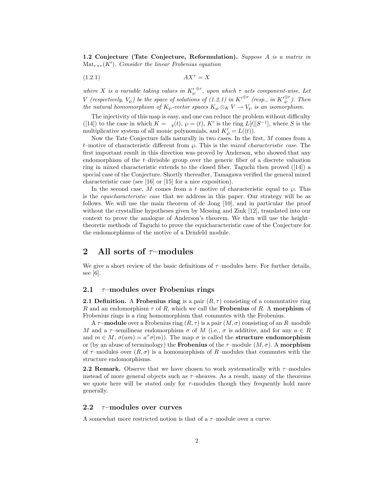1.2 Conjecture (Tate Conjecture, Reformulation). Suppose A is a matrix in  $\operatorname{Mat}_{r \times r}(K')$ . Consider the linear Frobenius equation

$$
(1.2.1)\t\t\tAX^{\tau} = X
$$

where X is a variable taking values in  $K'_{\wp}^{\oplus r}$ , upon which  $\tau$  acts component-wise. Let V (respectively,  $V_{\varphi}$ ) be the space of solutions of (1.2.1) in  $K'^{\oplus r}$  (resp., in  ${K'}_\varphi^{\oplus r}$ ). Then the natural homomorphism of  $K_{\varphi}$ -vector spaces  $K_{\varphi} \otimes_K V \to V_{\varphi}$  is an isomorphism.

The injectivity of this map is easy, and one can reduce the problem without difficulty ([14]) to the case in which  $K = q(t)$ ,  $\wp = (t)$ , K' is the ring  $L[t][S^{-1}]$ , where S is the multiplicative system of all monic polynomials, and  $K'_{\wp} = L((t)).$ 

Now the Tate Conjecture falls naturally in two cases. In the first, M comes from a t–motive of characteristic different from  $\wp$ . This is the *mixed characteristic case*. The first important result in this direction was proved by Anderson, who showed that any endomorphism of the  $t$ –divisible group over the generic fiber of a discrete valuation ring in mixed characteristic extends to the closed fiber. Taguchi then proved ([14]) a special case of the Conjecture. Shortly thereafter, Tamagawa verified the general mixed characteristic case (see [16] or [15] for a nice exposition).

In the second case, M comes from a t–motive of characteristic equal to  $\varphi$ . This is the equicharacteristic case that we address in this paper. Our strategy will be as follows. We will use the main theorem of de Jong [10], and in particular the proof without the crystalline hypotheses given by Messing and Zink [12], translated into our context to prove the analogue of Anderson's theorem. We then will use the height– theoretic methods of Taguchi to prove the equicharacteristic case of the Conjecture for the endomorphisms of the motive of a Drinfeld module.

# 2 All sorts of  $\tau$ -modules

We give a short review of the basic definitions of  $\tau$ –modules here. For further details, see [6].

### 2.1  $\tau$ –modules over Frobenius rings

**2.1 Definition.** A Frobenius ring is a pair  $(R, \tau)$  consisting of a commutative ring R and an endomorphism  $\tau$  of R, which we call the **Frobenius** of R. A morphism of Frobenius rings is a ring homomorphism that commutes with the Frobenius.

A  $\tau$ –**module** over a Frobenius ring  $(R, \tau)$  is a pair  $(M, \sigma)$  consisting of an R–module M and a  $\tau$ -semilinear endomorphism  $\sigma$  of M (i.e.,  $\sigma$  is additive, and for any  $a \in R$ and  $m \in M$ ,  $\sigma(am) = a^{\tau}\sigma(m)$ . The map  $\sigma$  is called the **structure endomorphism** or (by an abuse of terminology) the **Frobenius** of the  $\tau$ –module  $(M, \sigma)$ . A morphism of  $\tau$ –modules over  $(R, \sigma)$  is a homomorphism of R–modules that commutes with the structure endomorphisms.

**2.2 Remark.** Observe that we have chosen to work systematically with  $\tau$ –modules instead of more general objects such as  $\tau$ -sheaves. As a result, many of the theorems we quote here will be stated only for  $\tau$ -modules though they frequently hold more generally.

## 2.2  $\tau$ –modules over curves

A somewhat more restricted notion is that of a  $\tau$ -module over a curve.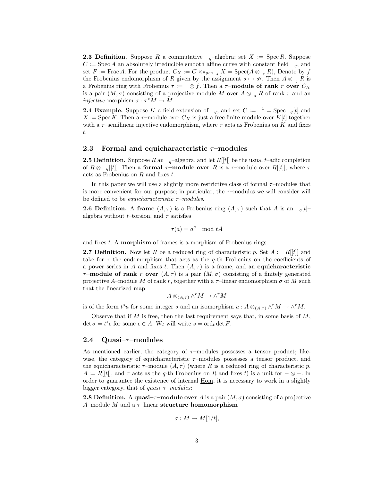**2.3 Definition.** Suppose R a commutative  $_q$ -algebra; set  $X := \text{Spec } R$ . Suppose  $C := \text{Spec } A$  an absolutely irreducible smooth affine curve with constant field  $\mathfrak{q}$ , and set F := Frac A. For the product  $C_X := C \times_{Spec} q X = Spec(A \otimes q R)$ , Denote by f the Frobenius endomorphism of R given by the assignment  $s \mapsto s^q$ . Then  $A \otimes_{q} R$  is a Frobenius ring with Frobenius  $\tau := \otimes f$ . Then a  $\tau$ -module of rank r over  $C_X$ is a pair  $(M, \sigma)$  consisting of a projective module M over  $A \otimes R_{\sigma} R$  of rank r and an *injective* morphism  $\sigma : \tau^* M \to M$ .

**2.4 Example.** Suppose K a field extension of  $_q$ , and set  $C := \begin{bmatrix} 1 \\ 1 \end{bmatrix}$  = Spec  $_q[t]$  and  $X := \text{Spec } K$ . Then a  $\tau$ -module over  $C_X$  is just a free finite module over  $K[t]$  together with a  $\tau$ -semilinear injective endomorphism, where  $\tau$  acts as Frobenius on K and fixes t.

#### 2.3 Formal and equicharacteristic  $\tau$ -modules

**2.5 Definition.** Suppose R an  $_q$ –algebra, and let  $R[[t]]$  be the usual t–adic completion of  $R \otimes_{q} [t]$ . Then a **formal**  $\tau$ –**module over** R is a  $\tau$ –module over R[ $[t]$ ], where  $\tau$ acts as Frobenius on R and fixes t.

In this paper we will use a slightly more restrictive class of formal  $\tau$ –modules that is more convenient for our purpose; in particular, the  $\tau$ -modules we will consider will be defined to be *equicharacteristic*  $\tau$ -modules.

**2.6 Definition.** A frame  $(A, \tau)$  is a Frobenius ring  $(A, \tau)$  such that A is an  $_q[t]$ algebra without t–torsion, and  $\tau$  satisfies

$$
\tau(a) = a^q \mod tA
$$

and fixes  $t$ . A **morphism** of frames is a morphism of Frobenius rings.

**2.7 Definition.** Now let R be a reduced ring of characteristic p. Set  $A := R[[t]]$  and take for  $\tau$  the endomorphism that acts as the q-th Frobenius on the coefficients of a power series in A and fixes t. Then  $(A, \tau)$  is a frame, and an equicharacteristic  $\tau$ –module of rank r over  $(A, \tau)$  is a pair  $(M, \sigma)$  consisting of a finitely generated projective A–module M of rank r, together with a  $\tau$ –linear endomorphism  $\sigma$  of M such that the linearized map

$$
A \otimes_{(A,\tau)} \wedge^r M \to \wedge^r M
$$

is of the form  $t^s u$  for some integer s and an isomorphism  $u : A \otimes_{(A,\tau)} \wedge^r M \to \wedge^r M$ .

Observe that if  $M$  is free, then the last requirement says that, in some basis of  $M$ ,  $\det \sigma = t^s \epsilon$  for some  $\epsilon \in A$ . We will write  $s = \text{ord}_t \det F$ .

### 2.4 Quasi $-\tau$ –modules

As mentioned earlier, the category of  $\tau$ –modules possesses a tensor product; likewise, the category of equicharacteristic  $\tau$ –modules possesses a tensor product, and the equicharacteristic  $\tau$ –module  $(A, \tau)$  (where R is a reduced ring of characteristic p,  $A := R[[t]]$ , and  $\tau$  acts as the q-th Frobenius on R and fixes t) is a unit for  $-\otimes$  –. In order to guarantee the existence of internal Hom, it is necessary to work in a slightly bigger category, that of  $quasi-\tau$ –modules:

**2.8 Definition.** A quasi- $\tau$ -module over A is a pair  $(M, \sigma)$  consisting of a projective A–module M and a  $\tau$ –linear structure homomorphism

$$
\sigma: M \to M[1/t],
$$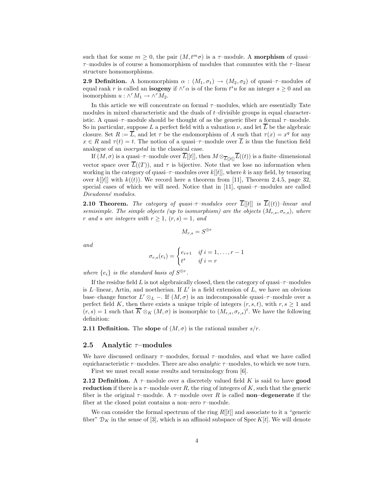such that for some  $m \geq 0$ , the pair  $(M, t^m \sigma)$  is a  $\tau$ -module. A **morphism** of quasi- $\tau$ –modules is of course a homomorphism of modules that commutes with the  $\tau$ –linear structure homomorphisms.

**2.9 Definition.** A homomorphism  $\alpha : (M_1, \sigma_1) \to (M_2, \sigma_2)$  of quasi- $\tau$ -modules of equal rank r is called an **isogeny** if  $\wedge^r \alpha$  is of the form  $t^s u$  for an integer  $s \geq 0$  and an isomorphism  $u : \wedge^r M_1 \to \wedge^r M_2$ .

In this article we will concentrate on formal  $\tau$ –modules, which are essentially Tate modules in mixed characteristic and the duals of t–divisible groups in equal characteristic. A quasi– $\tau$ –module should be thought of as the generic fiber a formal  $\tau$ –module. So in particular, suppose L a perfect field with a valuation  $\nu$ , and let  $\overline{L}$  be the algebraic closure. Set  $R := \overline{L}$ , and let  $\tau$  be the endomorphism of A such that  $\tau(x) = x^q$  for any  $x \in R$  and  $\tau(t) = t$ . The notion of a quasi- $\tau$ -module over  $\overline{L}$  is thus the function field analogue of an isocrystal in the classical case.

If  $(M, \sigma)$  is a quasi- $\tau$ -module over  $\overline{L}[[t]]$ , then  $M \otimes_{\overline{L}[[t]]} \overline{L}((t))$  is a finite-dimensional vector space over  $\overline{L}((T))$ , and  $\tau$  is bijective. Note that we lose no information when working in the category of quasi- $\tau$ -modules over  $k[[t]]$ , where k is any field, by tensoring over  $k[[t]]$  with  $k((t))$ . We record here a theorem from [11], Theorem 2.4.5, page 32, special cases of which we will need. Notice that in [11], quasi- $\tau$ -modules are called Dieudonné modules.

**2.10 Theorem.** The category of quasi- $\tau$ -modules over  $\overline{L}[[t]]$  is  $\overline{L}((t))$ -linear and semisimple. The simple objects (up to isomorphism) are the objects  $(M_{r,s}, \sigma_{r,s})$ , where r and s are integers with  $r \geq 1$ ,  $(r, s) = 1$ , and

$$
M_{r,s}=S^{\oplus r}
$$

and

$$
\sigma_{r,s}(e_i) = \begin{cases} e_{i+1} & \text{if } i = 1, \dots, r-1 \\ t^s & \text{if } i = r \end{cases}
$$

where  $\{e_i\}$  is the standard basis of  $S^{\oplus r}$ .

If the residue field L is not algebraically closed, then the category of quasi- $\tau$ -modules is  $L$ -linear, Artin, and noetherian. If  $L'$  is a field extension of  $L$ , we have an obvious base–change functor  $L' \otimes_L -$ . If  $(M, \sigma)$  is an indecomposable quasi– $\tau$ –module over a perfect field K, then there exists a unique triple of integers  $(r, s, t)$ , with  $r, s \ge 1$  and  $(r, s) = 1$  such that  $\overline{K} \otimes_K (M, \sigma)$  is isomorphic to  $(M_{r,s}, \sigma_{r,s})^t$ . We have the following definition:

**2.11 Definition.** The slope of  $(M, \sigma)$  is the rational number  $s/r$ .

## 2.5 Analytic  $\tau$ –modules

We have discussed ordinary  $\tau$ –modules, formal  $\tau$ –modules, and what we have called equicharacteristic  $\tau$ –modules. There are also *analytic*  $\tau$ –modules, to which we now turn. First we must recall some results and terminology from [6].

**2.12 Definition.** A  $\tau$ -module over a discretely valued field K is said to have **good** reduction if there is a  $\tau$ -module over R, the ring of integers of K, such that the generic fiber is the original  $\tau$ –module. A  $\tau$ –module over R is called **non–degenerate** if the fiber at the closed point contains a non–zero  $\tau$ –module.

We can consider the formal spectrum of the ring  $R[[t]]$  and associate to it a "generic fiber"  $\mathcal{D}_K$  in the sense of [3], which is an affinoid subspace of Spec K[t]. We will denote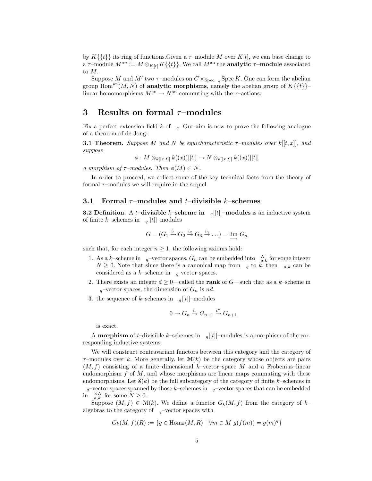by  $K\{\{t\}\}\$ its ring of functions. Given a  $\tau$ –module M over  $K[t]$ , we can base change to a  $\tau$ –module  $M^{an} := M \otimes_{K[t]} K({t})$ . We call  $M^{an}$  the **analytic**  $\tau$ –**module** associated to M.

Suppose M and M' two  $\tau$ -modules on  $C \times_{Spec} q$  Spec K. One can form the abelian group Hom<sup>an</sup> $(M, N)$  of **analytic morphisms**, namely the abelian group of  $K\{\{t\}\}\$ linear homomorphisms  $M^{\rm an} \to N^{\rm an}$  commuting with the  $\tau$ -actions.

# 3 Results on formal  $\tau$ -modules

Fix a perfect extension field k of  $_q$ . Our aim is now to prove the following analogue of a theorem of de Jong:

**3.1 Theorem.** Suppose M and N be equicharacteristic  $\tau$ -modules over  $k[[t, x]]$ , and suppose

$$
\phi: M\otimes_{k[[x,t]]} k((x))[[t]]\rightarrow N\otimes_{k[[x,t]]} k((x))[[t]]
$$

a morphism of  $\tau$ –modules. Then  $\phi(M) \subset N$ .

In order to proceed, we collect some of the key technical facts from the theory of formal  $\tau$ -modules we will require in the sequel.

### 3.1 Formal  $\tau$ –modules and t–divisible k–schemes

**3.2 Definition.** A t-divisible k-scheme in  $_q[[t]]$ -modules is an inductive system of finite k–schemes in  $_q[[t]]$ –modules

$$
G = (G_1 \xrightarrow{i_1} G_2 \xrightarrow{i_2} G_3 \xrightarrow{i_3} \dots) = \lim_{n \to \infty} G_n
$$

such that, for each integer  $n\geq 1,$  the following axioms hold:

- 1. As a k-scheme in q-vector spaces,  $G_n$  can be embedded into  $N \choose a,k$  for some integer  $N \geq 0$ . Note that since there is a canonical map from  $q$  to k, then  $a,k$  can be considered as a  $k$ -scheme in  $q$  vector spaces.
- 2. There exists an integer  $d \geq 0$ —called the **rank** of G—such that as a k–scheme in  $q$ –vector spaces, the dimension of  $G_n$  is nd.
- 3. the sequence of k–schemes in  $_q[[t]]$ –modules

$$
0 \to G_n \xrightarrow{i_n} G_{n+1} \xrightarrow{t^n} G_{n+1}
$$

is exact.

A **morphism** of *t*–divisible *k*–schemes in  $q[[t]]$ –modules is a morphism of the corresponding inductive systems.

We will construct contravariant functors between this category and the category of  $\tau$ –modules over k. More generally, let  $\mathcal{M}(k)$  be the category whose objects are pairs  $(M, f)$  consisting of a finite–dimensional k–vector–space M and a Frobenius–linear endomorphism  $f$  of  $M$ , and whose morphisms are linear maps commuting with these endomorphisms. Let  $S(k)$  be the full subcategory of the category of finite k–schemes in  $q$ –vector spaces spanned by those k–schemes in  $q$ –vector spaces that can be embedded in  $\sum_{a,k}^{X,N}$  for some  $N \geq 0$ .

Suppose  $(M, f) \in \mathcal{M}(k)$ . We define a functor  $G_k(M, f)$  from the category of k– algebras to the category of  $\;$   $\;$   $\;$   $\;$   $\;$   $\;$ 

$$
G_k(M, f)(R) := \{ g \in \text{Hom}_k(M, R) \mid \forall m \in M \ g(f(m)) = g(m)^q \}
$$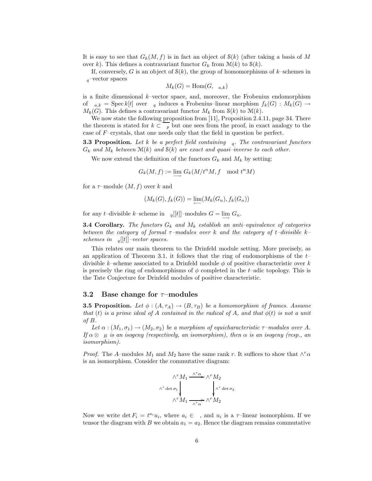It is easy to see that  $G_k(M, f)$  is in fact an object of  $\mathcal{S}(k)$  (after taking a basis of M over k). This defines a contravariant functor  $G_k$  from  $\mathcal{M}(k)$  to  $\mathcal{S}(k)$ .

If, conversely, G is an object of  $S(k)$ , the group of homomorphisms of k–schemes in  $q$ <sup>-</sup>vector spaces

$$
M_k(G) = \text{Hom}(G, a,k)
$$

is a finite dimensional  $k$ –vector space, and, moreover, the Frobenius endomorphism of  $a_k = \text{Spec } k[t]$  over q induces a Frobenius–linear morphism  $f_k(G) : M_k(G) \to$  $M_k(G)$ . This defines a contravariant functor  $M_k$  from  $\mathcal{S}(k)$  to  $\mathcal{M}(k)$ .

We now state the following proposition from [11], Proposition 2.4.11, page 34. There the theorem is stated for  $k \subset p$  but one sees from the proof, in exact analogy to the case of F–crystals, that one needs only that the field in question be perfect.

**3.3 Proposition.** Let k be a perfect field containing  $q$ . The contravariant functors  $G_k$  and  $M_k$  between  $\mathcal{M}(k)$  and  $\mathcal{S}(k)$  are exact and quasi-inverse to each other.

We now extend the definition of the functors  $G_k$  and  $M_k$  by setting:

$$
G_k(M,f):=\varinjlim\, G_k(M/t^nM,f\mod t^nM)
$$

for a  $\tau$ -module  $(M, f)$  over k and

$$
(M_k(G), f_k(G)) = \lim_{\longleftarrow} (M_k(G_n), f_k(G_n))
$$

for any t–divisible k–scheme in  $q[[t]]$ –modules  $G = \lim_{\longrightarrow} G_n$ .

**3.4 Corollary.** The functors  $G_k$  and  $M_k$  establish an anti-equivalence of categories between the category of formal  $\tau$ –modules over k and the category of t–divisible k– schemes in  $q[[t]]$ -vector spaces.

This relates our main theorem to the Drinfeld module setting. More precisely, as an application of Theorem 3.1, it follows that the ring of endomorphisms of the  $t$ divisible k–scheme associated to a Drinfeld module  $\phi$  of positive characteristic over k is precisely the ring of endomorphisms of  $\phi$  completed in the t–adic topology. This is the Tate Conjecture for Drinfeld modules of positive characteristic.

## 3.2 Base change for  $\tau$ –modules

**3.5 Proposition.** Let  $\phi : (A, \tau_A) \to (B, \tau_B)$  be a homomorphism of frames. Assume that (t) is a prime ideal of A contained in the radical of A, and that  $\phi(t)$  is not a unit of B.

Let  $\alpha : (M_1, \sigma_1) \to (M_2, \sigma_2)$  be a morphism of equicharacteristic  $\tau$ -modules over A. If  $\alpha \otimes_{B}$  is an isogeny (respectively, an isomorphism), then  $\alpha$  is an isogeny (resp., an isomorphism).

*Proof.* The A–modules  $M_1$  and  $M_2$  have the same rank r. It suffices to show that  $\wedge^r \alpha$ is an isomorphism. Consider the commutative diagram:

$$
\wedge^r M_1 \xrightarrow{\wedge^r \alpha} \wedge^r M_2
$$
  

$$
\wedge^r \det \sigma_1 \downarrow \qquad \qquad \downarrow \wedge^r \det \sigma_2
$$
  

$$
\wedge^r M_1 \xrightarrow{\wedge^r \alpha} \wedge^r M_2
$$

Now we write  $\det F_i = t^{a_i} u_i$ , where  $a_i \in \square$ , and  $u_i$  is a  $\tau$ -linear isomorphism. If we tensor the diagram with B we obtain  $a_1 = a_2$ . Hence the diagram remains commutative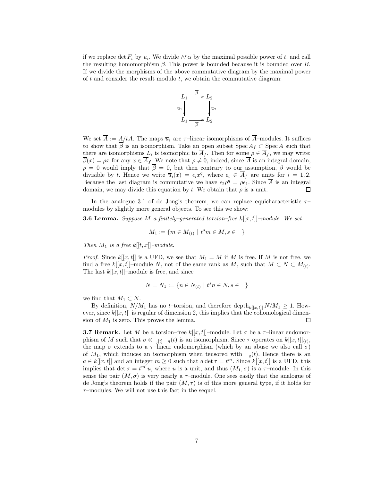if we replace  $\det F_i$  by  $u_i$ . We divide  $\wedge^r \alpha$  by the maximal possible power of t, and call the resulting homomorphism  $\beta$ . This power is bounded because it is bounded over B. If we divide the morphisms of the above commutative diagram by the maximal power of  $t$  and consider the result modulo  $t$ , we obtain the commutative diagram:



We set  $\overline{A} := A/tA$ . The maps  $\overline{u}_i$  are  $\tau$ -linear isomorphisms of  $\overline{A}$ -modules. It suffices to show that  $\overline{\beta}$  is an isomorphism. Take an open subset  $\text{Spec } \overline{A}_f \subset \text{Spec } \overline{A}$  such that there are isomorphisms  $L_i$  is isomorphic to  $A_f$ . Then for some  $\rho \in A_f$ , we may write:  $\overline{\beta}(x) = \rho x$  for any  $x \in \overline{A}_f$ . We note that  $\rho \neq 0$ ; indeed, since  $\overline{A}$  is an integral domain,  $\rho = 0$  would imply that  $\overline{\beta} = 0$ , but then contrary to our assumption,  $\beta$  would be divisible by t. Hence we write  $\overline{u}_i(x) = \epsilon_i x^q$ , where  $\epsilon_i \in \overline{A}_f$  are units for  $i = 1, 2$ . Because the last diagram is commutative we have  $\epsilon_2 \rho^q = \rho \epsilon_1$ . Since  $\overline{A}$  is an integral domain, we may divide this equation by t. We obtain that  $\rho$  is a unit.  $\Box$ 

In the analogue 3.1 of de Jong's theorem, we can replace equicharacteristic  $\tau$ modules by slightly more general objects. To see this we show:

**3.6 Lemma.** Suppose M a finitely–generated torsion–free  $k[[x,t]]$ –module. We set:

$$
M_1 := \{ m \in M_{(t)} \mid t^s m \in M, s \in \}
$$

Then  $M_1$  is a free  $k[[t, x]]$ -module.

*Proof.* Since  $k[[x, t]]$  is a UFD, we see that  $M_1 = M$  if M is free. If M is not free, we find a free  $k[[x,t]]$ -module N, not of the same rank as M, such that  $M \subset N \subset M_{(t)}$ . The last  $k[[x, t]]$ –module is free, and since

$$
N = N_1 := \{ n \in N_{(t)} \mid t^s n \in N, s \in \}
$$

we find that  $M_1 \subset N$ .

By definition,  $N/M_1$  has no t–torsion, and therefore depth $k_{[[x,t]]} N/M_1 \geq 1$ . However, since  $k[[x, t]]$  is regular of dimension 2, this implies that the cohomological dimension of  $M_1$  is zero. This proves the lemma. □

**3.7 Remark.** Let M be a torsion–free  $k[[x, t]]$ –module. Let  $\sigma$  be a  $\tau$ –linear endomorphism of M such that  $\sigma \otimes_{q[t] - q(t)}$  is an isomorphism. Since  $\tau$  operates on  $k[[x,t]]_{(t)}$ , the map  $\sigma$  extends to a  $\tau$ -linear endomorphism (which by an abuse we also call  $\sigma$ ) of  $M_1$ , which induces an isomorphism when tensored with  $q(t)$ . Hence there is an  $a \in k[[x,t]]$  and an integer  $m \geq 0$  such that  $a \det \tau = t^m$ . Since  $k[[x,t]]$  is a UFD, this implies that det  $\sigma = t^{m'}u$ , where u is a unit, and thus  $(M_1, \sigma)$  is a  $\tau$ -module. In this sense the pair  $(M, \sigma)$  is very nearly a  $\tau$ -module. One sees easily that the analogue of de Jong's theorem holds if the pair  $(M, \tau)$  is of this more general type, if it holds for  $\tau$ –modules. We will not use this fact in the sequel.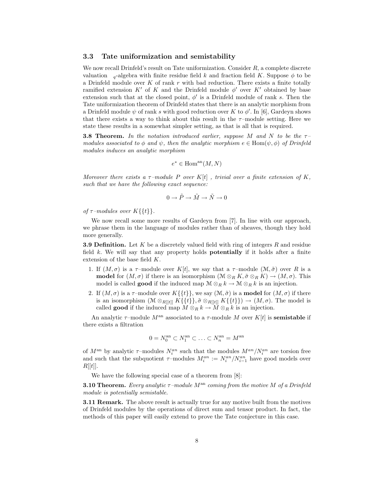### 3.3 Tate uniformization and semistability

We now recall Drinfeld's result on Tate uniformization. Consider R, a complete discrete valuation  $q$ -algebra with finite residue field k and fraction field K. Suppose  $\phi$  to be a Drinfeld module over  $K$  of rank  $r$  with bad reduction. There exists a finite totally ramified extension  $K'$  of K and the Drinfeld module  $\phi'$  over  $K'$  obtained by base extension such that at the closed point,  $\phi'$  is a Drinfeld module of rank s. Then the Tate uniformization theorem of Drinfeld states that there is an analytic morphism from a Drinfeld module  $\psi$  of rank s with good reduction over K to  $\phi'$ . In [6], Gardeyn shows that there exists a way to think about this result in the  $\tau$ -module setting. Here we state these results in a somewhat simpler setting, as that is all that is required.

**3.8 Theorem.** In the notation introduced earlier, suppose M and N to be the  $\tau$ modules associated to  $\phi$  and  $\psi$ , then the analytic morphism  $e \in \text{Hom}(\psi, \phi)$  of Drinfeld modules induces an analytic morphism

$$
e^* \in \text{Hom}^{\text{an}}(M, N)
$$

Moreover there exists a  $\tau$ -module P over K[t], trivial over a finite extension of K, such that we have the following exact sequence:

$$
0\to \tilde{P}\to \tilde{M}\to \tilde{N}\to 0
$$

of  $\tau$ -modules over  $K\{\{t\}\}.$ 

We now recall some more results of Gardeyn from [7]. In line with our approach, we phrase them in the language of modules rather than of sheaves, though they hold more generally.

**3.9 Definition.** Let K be a discretely valued field with ring of integers R and residue field  $k$ . We will say that any property holds **potentially** if it holds after a finite extension of the base field K.

- 1. If  $(M, \sigma)$  is a  $\tau$ -module over K[t], we say that a  $\tau$ -module  $(M, \tilde{\sigma})$  over R is a **model** for  $(M, \sigma)$  if there is an isomorphism  $(\mathcal{M} \otimes_R K, \tilde{\sigma} \otimes_R K) \to (M, \sigma)$ . This model is called **good** if the induced map  $M \otimes_R k \to M \otimes_R k$  is an injection.
- 2. If  $(M, \sigma)$  is a  $\tau$ -module over  $K\{\{t\}\}\,$ , we say  $(M, \tilde{\sigma})$  is a **model** for  $(M, \sigma)$  if there is an isomorphism  $(M \otimes_{R[[t]]} K\{\{t\}\}, \tilde{\sigma} \otimes_{R[[t]]} K\{\{t\}\}) \to (M, \sigma)$ . The model is called **good** if the induced map  $M \otimes_R k \to \widetilde{M} \otimes_R k$  is an injection.

An analytic  $\tau$ -module  $M^{\text{an}}$  associated to a  $\tau$ -module M over K[t] is **semistable** if there exists a filtration

$$
0 = N_0^{\text{an}} \subset N_1^{\text{an}} \subset \ldots \subset N_n^{\text{an}} = M^{\text{an}}
$$

of  $M^{\rm an}$  by analytic  $\tau$ -modules  $N_i^{an}$  such that the modules  $M^{an}/N_i^{an}$  are torsion free and such that the subquotient  $\tau$ -modules  $M_i^{an} := N_i^{an}/N_{i-1}^{an}$  have good models over  $R[[t]].$ 

We have the following special case of a theorem from [8]:

**3.10 Theorem.** Every analytic  $\tau$ -module  $M^{\text{an}}$  coming from the motive M of a Drinfeld module is potentially semistable.

**3.11 Remark.** The above result is actually true for any motive built from the motives of Drinfeld modules by the operations of direct sum and tensor product. In fact, the methods of this paper will easily extend to prove the Tate conjecture in this case.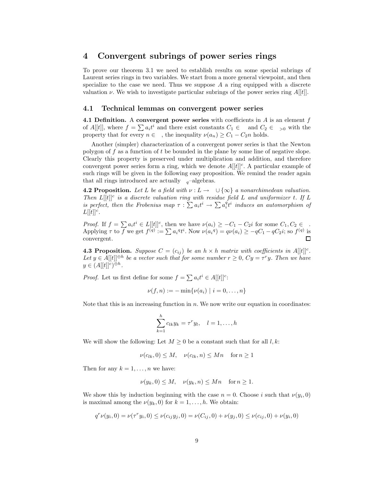# 4 Convergent subrings of power series rings

To prove our theorem 3.1 we need to establish results on some special subrings of Laurent series rings in two variables. We start from a more general viewpoint, and then specialize to the case we need. Thus we suppose  $A$  a ring equipped with a discrete valuation  $\nu$ . We wish to investigate particular subrings of the power series ring  $A[[t]]$ .

#### 4.1 Technical lemmas on convergent power series

4.1 Definition. A convergent power series with coefficients in  $A$  is an element  $f$ of  $A[[t]]$ , where  $f = \sum a_i t^i$  and there exist constants  $C_1 \in \text{and } C_2 \in \text{ and the other hand}$ property that for every  $n \in \{$ , the inequality  $\nu(a_n) \geq C_1 - C_2 n$  holds.

Another (simpler) characterization of a convergent power series is that the Newton polygon of f as a function of t be bounded in the plane by some line of negative slope. Clearly this property is preserved under multiplication and addition, and therefore convergent power series form a ring, which we denote  $A[[t]]^c$ . A particular example of such rings will be given in the following easy proposition. We remind the reader again that all rings introduced are actually  $q$ –algebras.

**4.2 Proposition.** Let L be a field with  $\nu : L \to \cup \{\infty\}$  a nonarchimedean valuation. Then  $L[[t]]^c$  is a discrete valuation ring with residue field L and uniformizer t. If L is perfect, then the Frobenius map  $\tau : \sum a_i t^i \to \sum a_i^q t^i$  induces an automorphism of  $L[[t]]^c$ .

*Proof.* If  $f = \sum a_i t^i \in L[[t]]^c$ , then we have  $\nu(a_i) \geq -C_1 - C_2i$  for some  $C_1, C_2 \in \mathcal{C}$ . Applying  $\tau$  to  $\overline{f}$  we get  $f^{(q)} := \sum a_i^q t^i$ . Now  $\nu(a_i^q) = q\nu(a_i) \ge -qC_1 - qC_2i$ ; so  $f^{(q)}$  is convergent.

**4.3 Proposition.** Suppose  $C = (c_{ij})$  be an  $h \times h$  matrix with coefficients in  $A[[t]]^c$ . Let  $y \in A[[t]]^{\oplus h}$  be a vector such that for some number  $r \geq 0$ ,  $Cy = \tau^r y$ . Then we have  $y \in (A[[t]]^c)^{\oplus h}.$ 

*Proof.* Let us first define for some  $f = \sum a_i t^i \in A[[t]]^c$ :

$$
\nu(f, n) := -\min\{\nu(a_i) \mid i = 0, \dots, n\}
$$

Note that this is an increasing function in  $n$ . We now write our equation in coordinates:

$$
\sum_{k=1}^{h} c_{lk} y_k = \tau^r y_l, \quad l = 1, \dots, h
$$

We will show the following: Let  $M \geq 0$  be a constant such that for all  $l, k$ :

$$
\nu(c_{lk}, 0) \le M, \quad \nu(c_{lk}, n) \le Mn \quad \text{for } n \ge 1
$$

Then for any  $k = 1, \ldots, n$  we have:

$$
\nu(y_k, 0) \le M, \quad \nu(y_k, n) \le Mn \quad \text{for } n \ge 1.
$$

We show this by induction beginning with the case  $n = 0$ . Choose i such that  $\nu(y_i, 0)$ is maximal among the  $\nu(y_k, 0)$  for  $k = 1, \ldots, h$ . We obtain:

$$
q^r \nu(y_i, 0) = \nu(\tau^r y_i, 0) \le \nu(c_{ij} y_j, 0) = \nu(C_{ij}, 0) + \nu(y_j, 0) \le \nu(c_{ij}, 0) + \nu(y_i, 0)
$$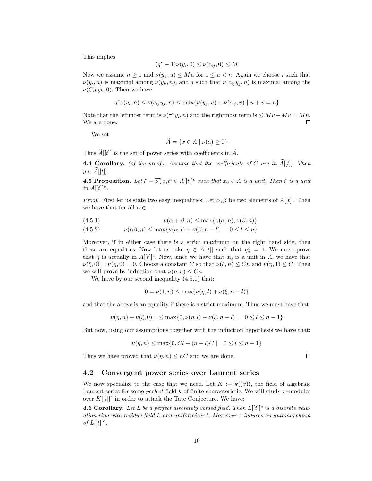This implies

$$
(q^r - 1)\nu(y_i, 0) \le \nu(c_{ij}, 0) \le M
$$

Now we assume  $n \geq 1$  and  $\nu(y_k, u) \leq Mu$  for  $1 \leq u < n$ . Again we choose i such that  $\nu(y_i, n)$  is maximal among  $\nu(y_k, n)$ , and j such that  $\nu(c_{ij}y_j, n)$  is maximal among the  $\nu(C_{ik}y_k, 0)$ . Then we have:

$$
q^r \nu(y_i, n) \le \nu(c_{ij} y_j, n) \le \max\{\nu(y_j, u) + \nu(c_{ij}, v) \mid u + v = n\}
$$

Note that the leftmost term is  $\nu(\tau^r y_i, n)$  and the rightmost term is  $\leq Mu + Mv = Mn$ . We are done. 口

We set

$$
A = \{ x \in A \mid \nu(a) \ge 0 \}
$$

Thus  $\widetilde{A}[[t]]$  is the set of power series with coefficients in  $\widetilde{A}$ .

**4.4 Corollary.** (of the proof). Assume that the coefficients of C are in  $\tilde{A}[[t]]$ . Then  $y \in \tilde{A}[[t]].$ 

**4.5 Proposition.** Let  $\xi = \sum x_i t^i \in A[[t]]^c$  such that  $x_0 \in A$  is a unit. Then  $\xi$  is a unit in  $A[[t]]^c$ .

*Proof.* First let us state two easy inequalities. Let  $\alpha, \beta$  be two elements of A[[t]]. Then we have that for all  $n \in$  :

(4.5.1) 
$$
\nu(\alpha+\beta,n) \leq \max\{\nu(\alpha,n),\nu(\beta,n)\}
$$

$$
(4.5.2) \qquad \nu(\alpha\beta, n) \le \max\{\nu(\alpha, l) + \nu(\beta, n - l) \mid 0 \le l \le n\}
$$

Moreover, if in either case there is a strict maximum on the right hand side, then these are equalities. Now let us take  $\eta \in A[[t]]$  such that  $\eta \xi = 1$ . We must prove that  $\eta$  is actually in  $A[[t]]^c$ . Now, since we have that  $x_0$  is a unit in A, we have that  $\nu(\xi,0) = \nu(\eta,0) = 0.$  Choose a constant C so that  $\nu(\xi,n) \leq Cn$  and  $\nu(\eta,1) \leq C$ . Then we will prove by induction that  $\nu(\eta, n) \leq Cn$ .

We have by our second inequality  $(4.5.1)$  that:

$$
0 = \nu(1, n) \le \max{\nu(\eta, l) + \nu(\xi, n - l)}
$$

and that the above is an equality if there is a strict maximum. Thus we must have that:

$$
\nu(\eta, n) + \nu(\xi, 0) = \leq \max\{0, \nu(\eta, l) + \nu(\xi, n - l) \mid 0 \leq l \leq n - 1\}
$$

But now, using our assumptions together with the induction hypothesis we have that:

$$
\nu(\eta, n) \le \max\{0, Cl + (n - l)C \mid 0 \le l \le n - 1\}
$$

Thus we have proved that  $\nu(\eta, n) \leq nC$  and we are done.

 $\Box$ 

### 4.2 Convergent power series over Laurent series

We now specialize to the case that we need. Let  $K := k((x))$ , the field of algebraic Laurent series for some *perfect* field k of finite characteristic. We will study  $\tau$ –modules over  $K[[t]]^c$  in order to attack the Tate Conjecture. We have:

**4.6 Corollary.** Let L be a perfect discretely valued field. Then  $L[[t]]^c$  is a discrete valuation ring with residue field L and uniformizer t. Moreover  $\tau$  induces an automorphism of  $L[[t]]^c$ .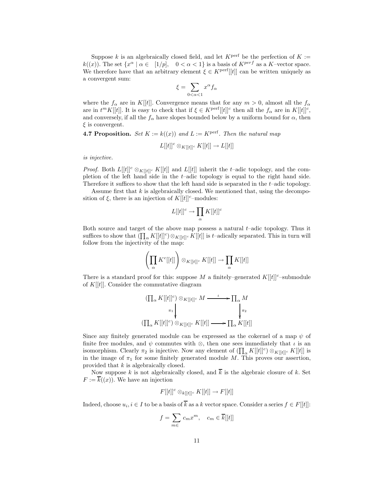Suppose k is an algebraically closed field, and let  $K^{\text{perf}}$  be the perfection of  $K :=$  $k((x))$ . The set  $\{x^{\alpha} \mid \alpha \in [1/p], \quad 0 < \alpha < 1\}$  is a basis of  $K^{perf}$  as a K-vector space. We therefore have that an arbitrary element  $\xi \in K^{\text{perf}}[[t]]$  can be written uniquely as a convergent sum:

$$
\xi = \sum_{0 < \alpha < 1} x^{\alpha} f_{\alpha}
$$

where the  $f_{\alpha}$  are in K[[t]]. Convergence means that for any  $m > 0$ , almost all the  $f_{\alpha}$ are in  $t^m K[[t]]$ . It is easy to check that if  $\xi \in K^{\text{perf}}[[t]]^c$  then all the  $f_\alpha$  are in  $K[[t]]^c$ , and conversely, if all the  $f_{\alpha}$  have slopes bounded below by a uniform bound for  $\alpha$ , then  $\xi$  is convergent.

**4.7 Proposition.** Set  $K := k((x))$  and  $L := K^{\text{perf}}$ . Then the natural map

$$
L[[t]]^c \otimes_{K[[t]]^c} K[[t]] \to L[[t]]
$$

is injective.

*Proof.* Both  $L[[t]]^c \otimes_{K[[t]]^c} K[[t]]$  and  $L[[t]]$  inherit the t-adic topology, and the completion of the left hand side in the  $t$ -adic topology is equal to the right hand side. Therefore it suffices to show that the left hand side is separated in the t–adic topology.

Assume first that  $k$  is algebraically closed. We mentioned that, using the decomposition of  $\xi$ , there is an injection of  $K[[t]]^c$ –modules:

$$
L[[t]]^c \to \prod_{\alpha} K[[t]]^c
$$

Both source and target of the above map possess a natural t–adic topology. Thus it suffices to show that  $(\prod_{\alpha} K[[t]]^c) \otimes_{K[[t]]^c} K[[t]]$  is t–adically separated. This in turn will follow from the injectivity of the map:

$$
\left(\prod_{\alpha} K^c[[t]] \right) \otimes_{K[[t]]^c} K[[t]] \to \prod_{\alpha} K[[t]]
$$

There is a standard proof for this: suppose M a finitely–generated  $K[[t]]^c$ –submodule of  $K[[t]]$ . Consider the commutative diagram

$$
(\prod_{\alpha} K[[t]]^c) \otimes_{K[[t]]^c} M \xrightarrow{\iota} \prod_{\alpha} M
$$
  

$$
(\prod_{\alpha} K[[t]]^c) \otimes_{K[[t]]^c} K[[t]] \longrightarrow \prod_{\alpha} K[[t]]
$$

Since any finitely generated module can be expressed as the cokernel of a map  $\psi$  of finite free modules, and  $\psi$  commutes with ⊗, then one sees immediately that  $\iota$  is an isomorphism. Clearly  $\pi_2$  is injective. Now any element of  $(\prod_{\alpha} K[[t]]^c) \otimes_{K[[t]]^c} K[[t]]$  is in the image of  $\pi_1$  for some finitely generated module M. This proves our assertion, provided that k is algebraically closed.

Now suppose k is not algebraically closed, and  $\overline{k}$  is the algebraic closure of k. Set  $F := \overline{k}((x))$ . We have an injection

$$
F[[t]]^c \otimes_{k[[t]]^c} K[[t]] \to F[[t]]
$$

Indeed, choose  $u_i, i \in I$  to be a basis of k as a k vector space. Consider a series  $f \in F[[t]]$ :

$$
f = \sum_{m \in \mathbb{R}} c_m x^m, \quad c_m \in \overline{k}[[t]]
$$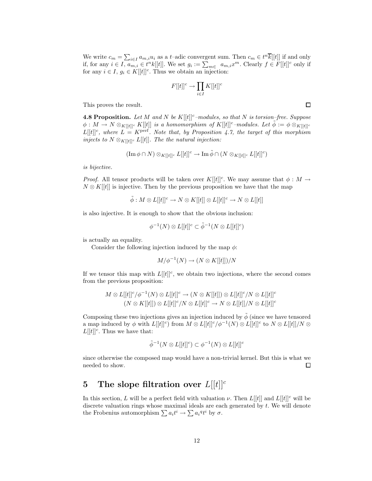We write  $c_m = \sum_{i \in I} a_{m,i} u_i$  as a t-adic convergent sum. Then  $c_m \in t^n \overline{k}[[t]]$  if and only if, for any  $i \in I$ ,  $a_{m,i} \in t^n k[[t]]$ . We set  $g_i := \sum_{m \in \mathbb{Z}} a_{m,i} x^m$ . Clearly  $f \in F[[t]]^c$  only if for any  $i \in I$ ,  $g_i \in K[[t]]^c$ . Thus we obtain an injection:

$$
F[[t]]^c \to \prod_{i \in I} K[[t]]^c
$$

This proves the result.

**4.8 Proposition.** Let M and N be  $K[[t]]^c$ -modules, so that N is torsion-free. Suppose  $\phi: M \to N \otimes_{K[[t]]^c} K[[t]]$  is a homomorphism of  $K[[t]]^c$ -modules. Let  $\tilde{\phi} := \phi \otimes_{K[[t]]^c}$  $L[[t]]^c$ , where  $L = K^{\text{perf}}$ . Note that, by Proposition 4.7, the target of this morphism injects to  $N \otimes_{K[[t]]^c} L[[t]]$ . The the natural injection:

$$
(\operatorname{Im} \phi \cap N) \otimes_{K[[t]]^c} L[[t]]^c \to \operatorname{Im} \tilde{\phi} \cap (N \otimes_{K[[t]]^c} L[[t]]^c)
$$

is bijective.

*Proof.* All tensor products will be taken over  $K[[t]]^c$ . We may assume that  $\phi : M \to$  $N \otimes K[[t]]$  is injective. Then by the previous proposition we have that the map

$$
\tilde{\phi}: M \otimes L[[t]]^c \to N \otimes K[[t]] \otimes L[[t]]^c \to N \otimes L[[t]]
$$

is also injective. It is enough to show that the obvious inclusion:

$$
\phi^{-1}(N) \otimes L[[t]]^c \subset \tilde{\phi}^{-1}(N \otimes L[[t]]^c)
$$

is actually an equality.

Consider the following injection induced by the map  $\phi$ :

$$
M/\phi^{-1}(N) \to (N \otimes K[[t]])/N
$$

If we tensor this map with  $L[[t]]^c$ , we obtain two injections, where the second comes from the previous proposition:

$$
M \otimes L[[t]]^c / \phi^{-1}(N) \otimes L[[t]]^c \to (N \otimes K[[t]]) \otimes L[[t]]^c / N \otimes L[[t]]^c
$$
  

$$
(N \otimes K[[t]]) \otimes L[[t]]^c / N \otimes L[[t]]^c \to N \otimes L[[t]] / N \otimes L[[t]]^c
$$

Composing these two injections gives an injection induced by  $\phi$  (since we have tensored a map induced by  $\phi$  with  $L[[t]]^c$  from  $M \otimes L[[t]]^c / \phi^{-1}(N) \otimes L[[t]]^c$  to  $N \otimes L[[t]]/N \otimes$  $L[[t]]^c$ . Thus we have that:

$$
\tilde{\phi}^{-1}(N \otimes L[[t]]^c) \subset \phi^{-1}(N) \otimes L[[t]]^c
$$

since otherwise the composed map would have a non-trivial kernel. But this is what we needed to show. □

# 5 The slope filtration over  $L[[t]]^c$

In this section, L will be a perfect field with valuation  $\nu$ . Then  $L[[t]]$  and  $L[[t]]^c$  will be discrete valuation rings whose maximal ideals are each generated by  $t$ . We will denote the Frobenius automorphism  $\sum a_i t^i \to \sum a_i{}^q t^i$  by  $\sigma$ .

 $\Box$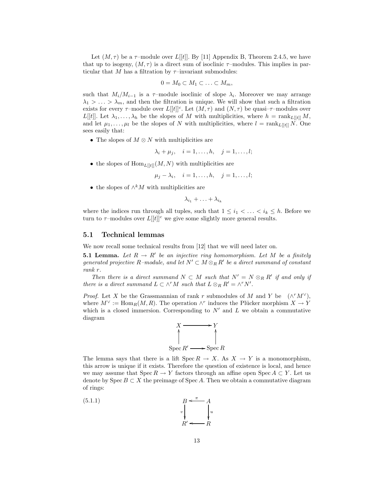Let  $(M, \tau)$  be a  $\tau$ -module over L[[t]]. By [11] Appendix B, Theorem 2.4.5, we have that up to isogeny,  $(M, \tau)$  is a direct sum of isoclinic  $\tau$ -modules. This implies in particular that M has a filtration by  $\tau$ -invariant submodules:

$$
0=M_0\subset M_1\subset\ldots\subset M_m,
$$

such that  $M_i/M_{i-1}$  is a  $\tau$ -module isoclinic of slope  $\lambda_i$ . Moreover we may arrange  $\lambda_1 > \ldots > \lambda_m$ , and then the filtration is unique. We will show that such a filtration exists for every  $\tau$ -module over  $L[[t]]^c$ . Let  $(M, \tau)$  and  $(N, \tau)$  be quasi- $\tau$ -modules over L[t]]. Let  $\lambda_1, \ldots, \lambda_h$  be the slopes of M with multiplicities, where  $h = \text{rank}_{L[[t]]} M$ , and let  $\mu_1, \ldots, \mu_l$  be the slopes of N with multiplicities, where  $l = \text{rank}_{L[[t]]} N$ . One sees easily that:

• The slopes of  $M \otimes N$  with multiplicities are

$$
\lambda_i + \mu_j, \quad i = 1, \dots, h, \quad j = 1, \dots, l;
$$

• the slopes of  $\text{Hom}_{L[[t]]}(M, N)$  with multiplicities are

 $\mu_j - \lambda_i, \quad i = 1, \ldots, h, \quad j = 1, \ldots, l;$ 

• the slopes of  $\wedge^k M$  with multiplicities are

 $\lambda_{i_1} + \ldots + \lambda_{i_k}$ 

where the indices run through all tuples, such that  $1 \leq i_1 < \ldots < i_k \leq h$ . Before we turn to  $\tau$ -modules over  $L[[t]]^c$  we give some slightly more general results.

### 5.1 Technical lemmas

We now recall some technical results from [12] that we will need later on.

**5.1 Lemma.** Let  $R \to R'$  be an injective ring homomorphism. Let M be a finitely generated projective R-module, and let  $N' \subset M \otimes_R R'$  be a direct summand of constant rank r.

Then there is a direct summand  $N \subset M$  such that  $N' = N \otimes_R R'$  if and only if there is a direct summand  $L \subset \wedge^r M$  such that  $L \otimes_R R' = \wedge^r N'$ .

*Proof.* Let X be the Grassmannian of rank r submodules of M and Y be  $(\wedge^r M^{\vee})$ , where  $M^{\vee} := \text{Hom}_R(M, R)$ . The operation  $\wedge^r$  induces the Plücker morphism  $X \to Y$ which is a closed immersion. Corresponding to  $N'$  and  $L$  we obtain a commutative diagram



The lemma says that there is a lift  $Spec R \to X$ . As  $X \to Y$  is a monomorphism, this arrow is unique if it exists. Therefore the question of existence is local, and hence we may assume that  $Spec R \to Y$  factors through an affine open  $Spec A \subset Y$ . Let us denote by Spec  $B \subset X$  the preimage of Spec A. Then we obtain a commutative diagram of rings:

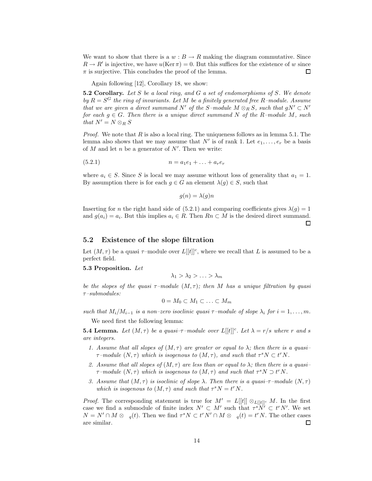We want to show that there is a  $w : B \to R$  making the diagram commutative. Since  $R \to R'$  is injective, we have  $u(\text{Ker } \pi) = 0$ . But this suffices for the existence of w since  $\pi$  is surjective. This concludes the proof of the lemma. □

Again following [12], Corollary 18, we show:

**5.2 Corollary.** Let  $S$  be a local ring, and  $G$  a set of endomorphisms of  $S$ . We denote by  $R = S^G$  the ring of invariants. Let M be a finitely generated free R-module. Assume that we are given a direct summand N' of the S-module  $M \otimes_R S$ , such that  $gN' \subset N'$ for each  $g \in G$ . Then there is a unique direct summand N of the R-module M, such that  $N' = N \otimes_R S$ 

*Proof.* We note that  $R$  is also a local ring. The uniqueness follows as in lemma 5.1. The lemma also shows that we may assume that  $N'$  is of rank 1. Let  $e_1, \ldots, e_r$  be a basis of  $M$  and let  $n$  be a generator of  $N'$ . Then we write:

$$
(5.2.1) \t\t n = a_1e_1 + \ldots + a_re_r
$$

where  $a_i \in S$ . Since S is local we may assume without loss of generality that  $a_1 = 1$ . By assumption there is for each  $g \in G$  an element  $\lambda(g) \in S$ , such that

$$
g(n) = \lambda(g)n
$$

Inserting for n the right hand side of (5.2.1) and comparing coefficients gives  $\lambda(g) = 1$ and  $g(a_i) = a_i$ . But this implies  $a_i \in R$ . Then  $R_n \subset M$  is the desired direct summand.

□

## 5.2 Existence of the slope filtration

Let  $(M, \tau)$  be a quasi  $\tau$ -module over  $L[[t]]^c$ , where we recall that L is assumed to be a perfect field.

#### 5.3 Proposition. Let

 $\lambda_1 > \lambda_2 > \ldots > \lambda_m$ 

be the slopes of the quasi  $\tau$ -module  $(M, \tau)$ ; then M has a unique filtration by quasi  $\tau$ -submodules:

$$
0 = M_0 \subset M_1 \subset \ldots \subset M_m
$$

such that  $M_i/M_{i-1}$  is a non-zero isoclinic quasi  $\tau$ -module of slope  $\lambda_i$  for  $i = 1, \ldots, m$ .

We need first the following lemma:

**5.4 Lemma.** Let  $(M, \tau)$  be a quasi- $\tau$ -module over  $L[[t]]^c$ . Let  $\lambda = r/s$  where r and s are integers.

- 1. Assume that all slopes of  $(M, \tau)$  are greater or equal to  $\lambda$ ; then there is a quasi- $\tau$ -module  $(N, \tau)$  which is isogenous to  $(M, \tau)$ , and such that  $\tau^s N \subset t^r N$ .
- 2. Assume that all slopes of  $(M, \tau)$  are less than or equal to  $\lambda$ ; then there is a quasi- $\tau$ -module  $(N, \tau)$  which is isogenous to  $(M, \tau)$  and such that  $\tau^s N \supset t^r N$ .
- 3. Assume that  $(M, \tau)$  is isoclinic of slope  $\lambda$ . Then there is a quasi- $\tau$ -module  $(N, \tau)$ which is isogenous to  $(M, \tau)$  and such that  $\tau^s N = t^r N$ .

*Proof.* The corresponding statement is true for  $M' = L[[t]] \otimes_{L[[t]]^c} M$ . In the first case we find a submodule of finite index  $N' \subset M'$  such that  $\tau^s N' \subset t^r N'$ . We set  $N = N' \cap M \otimes q(t)$ . Then we find  $\tau^s N \subset t^r N' \cap M \otimes q(t) = t^r N$ . The other cases are similar. □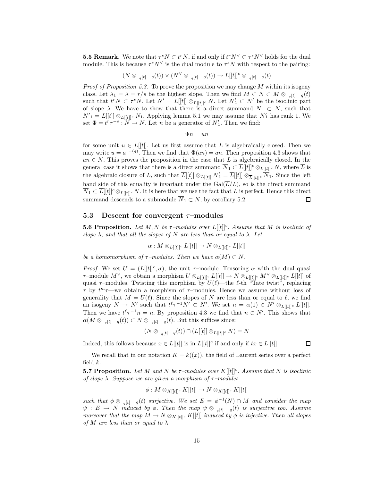**5.5 Remark.** We note that  $\tau^s N \subset t^r N$ , if and only if  $t^r N^{\vee} \subset \tau^s N^{\vee}$  holds for the dual module. This is because  $\tau^s N^{\vee}$  is the dual module to  $\tau^s N$  with respect to the pairing:

$$
(N\otimes \begin{array}{cc} {}_{q}[t] & q(t)\end{array})\times (N^\vee\otimes \begin{array}{cc} {}_{q}[t] & q(t)\end{array})\to L[[t]]^c\otimes \begin{array}{cc} {}_{q}[t] & q(t)\end{array}
$$

*Proof of Proposition 5.3.* To prove the proposition we may change  $M$  within its isogeny class. Let  $\lambda_1 = \lambda = r/s$  be the highest slope. Then we find  $M \subset N \subset M \otimes_{q}[t] \setminus q(t)$ such that  $t^r N \subset \tau^s N$ . Let  $N' = L[[t]] \otimes_{L[[t]]^c} N$ . Let  $N'_1 \subset N'$  be the isoclinic part of slope  $\lambda$ . We have to show that there is a direct summand  $N_1 \subset N$ , such that  $N'_{1} = L[[t]] \otimes_{L[[t]]^{c}} N_{1}$ . Applying lemma 5.1 we may assume that  $N'_{1}$  has rank 1. We set  $\Phi = t^r \tau^{-s} : \tilde{N} \to N$ . Let *n* be a generator of  $N'_1$ . Then we find:

$$
\Phi n = u n
$$

for some unit  $u \in L[[t]]$ . Let us first assume that L is algebraically closed. Then we may write  $u = a^{1-(q)}$ . Then we find that  $\Phi(an) = an$ . Then proposition 4.3 shows that  $an \in N$ . This proves the proposition in the case that L is algebraically closed. In the general case it shows that there is a direct summand  $\overline{N}_1 \subset \overline{L}[[t]]^c \otimes_{L[[t]]^c} N$ , where  $\overline{L}$  is the algebraic closure of L, such that  $\overline{L}[[t]] \otimes_{L[[t]]} N'_1 = \overline{L}[[t]] \otimes_{\overline{L}[[t]]^c} \overline{N}_1$ . Since the left hand side of this equality is invariant under the  $Gal(\overline{L}/L)$ , so is the direct summand  $\overline{N}_1 \subset \overline{L}[[t]]^c \otimes_{L[[t]]^c} N$ . It is here that we use the fact that L is perfect. Hence this direct summand descends to a submodule  $\overline{N}_1 \subset N$ , by corollary 5.2. 口

#### 5.3 Descent for convergent  $\tau$ -modules

**5.6 Proposition.** Let M, N be  $\tau$ -modules over  $L[[t]]^c$ . Assume that M is isoclinic of slope  $\lambda$ , and that all the slopes of N are less than or equal to  $\lambda$ . Let

$$
\alpha: M\otimes_{L[[t]]^c} L[[t]]\to N\otimes_{L[[t]]^c} L[[t]]
$$

be a homomorphism of  $\tau$ –modules. Then we have  $\alpha(M) \subset N$ .

*Proof.* We set  $U = (L[[t]]^c, \sigma)$ , the unit  $\tau$ -module. Tensoring  $\alpha$  with the dual quasi  $\tau$ –module  $M^{\vee}$ , we obtain a morphism  $U \otimes_{L[[t]]^c} L[[t]] \to N \otimes_{L[[t]]^c} M^{\vee} \otimes_{L[[t]]^c} L[[t]]$  of quasi  $\tau$ –modules. Twisting this morphism by  $U(\ell)$ —the  $\ell$ -th "Tate twist", replacing  $\tau$  by  $t^m\tau$ —we obtain a morphism of  $\tau$ –modules. Hence we assume without loss of generality that  $M = U(\ell)$ . Since the slopes of N are less than or equal to  $\ell$ , we find an isogeny  $N \to N'$  such that  $t^{\ell} \tau^{-1} N' \subset N'$ . We set  $n = \alpha(1) \in N' \otimes_{L[[t]]^c} L[[t]]$ . Then we have  $t^{\ell} \tau^{-1} n = n$ . By proposition 4.3 we find that  $n \in N'$ . This shows that  $\alpha(M \otimes_{q[t] - q}(t)) \subset N \otimes_{q[t] - q}(t)$ . But this suffices since:

$$
(N \otimes_{q[t]-q}(t)) \cap (L[[t]] \otimes_{L[[t]]^c} N) = N
$$

Indeed, this follows because  $x \in L[[t]]$  is in  $L[[t]]^c$  if and only if  $tx \in L<sup>[t]]</sup>$ 

 $\Box$ 

We recall that in our notation  $K = k((x))$ , the field of Laurent series over a perfect field  $k$ .

**5.7 Proposition.** Let M and N be  $\tau$ -modules over  $K[[t]]^c$ . Assume that N is isoclinic of slope  $\lambda$ . Suppose we are given a morphism of  $\tau$ -modules

$$
\phi: M\otimes_{K[[t]]^c} K[[t]]\to N\otimes_{K[[t]]^c} K[[t]]
$$

such that  $\phi \otimes_{q[t]} q(t)$  surjective. We set  $E = \phi^{-1}(N) \cap M$  and consider the map  $\psi : E \to N$  induced by  $\phi$ . Then the map  $\psi \otimes_{q[t]} q(t)$  is surjective too. Assume moreover that the map  $M \to N \otimes_{K[[t]]c} K[[t]]$  induced by  $\phi$  is injective. Then all slopes of M are less than or equal to  $\lambda$ .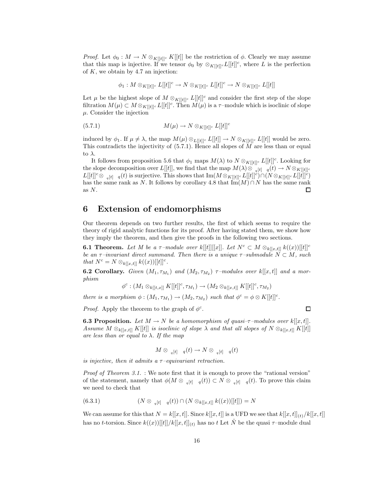*Proof.* Let  $\phi_0: M \to N \otimes_{K[[t]]^c} K[[t]]$  be the restriction of  $\phi$ . Clearly we may assume that this map is injective. If we tensor  $\phi_0$  by  $\otimes_{K[[t]]} L[[t]]^c$ , where L is the perfection of  $K$ , we obtain by 4.7 an injection:

$$
\phi_1: M\otimes_{K[[t]]^c} L[[t]]^c \to N\otimes_{K[[t]]^c} L[[t]]^c \to N\otimes_{K[[t]]^c} L[[t]]
$$

Let  $\mu$  be the highest slope of  $M \otimes_{K[[t]]^c} L[[t]]^c$  and consider the first step of the slope filtration  $M(\mu) \subset M \otimes_{K[[t]]^c} L[[t]]^c.$  Then  $M(\mu)$  is a  $\tau$ –module which is isoclinic of slope  $\mu$ . Consider the injection

(5.7.1) 
$$
M(\mu) \to N \otimes_{K[[t]]^c} L[[t]]^c
$$

induced by  $\phi_1$ . If  $\mu \neq \lambda$ , the map  $M(\mu) \otimes_{L[[t]]^c} L[[t]] \rightarrow N \otimes_{K[[t]]^c} L[[t]]$  would be zero. This contradicts the injectivity of  $(5.7.1)$ . Hence all slopes of  $\widetilde{M}$  are less than or equal to  $\lambda$ .

It follows from proposition 5.6 that  $\phi_1$  maps  $M(\lambda)$  to  $N \otimes_{K[[t]]^c} L[[t]]^c$ . Looking for the slope decomposition over  $L[[t]]$ , we find that the map  $M(\lambda) \otimes_{q[t] - q}(t) \to N \otimes_{K[[t]]^c}$  $L[[t]]^c \otimes \mathcal{L}_{q[t]-q}(t)$  is surjective. This shows that  $\text{Im}(M \otimes_{K[[t]]^c} L[[t]]^c) \cap (N \otimes_{K[[t]]^c} L[[t]]^c)$ has the same rank as N. It follows by corollary 4.8 that  $\text{Im}(M) \cap N$  has the same rank as  $N$ .  $\Box$ 

# 6 Extension of endomorphisms

Our theorem depends on two further results, the first of which seems to require the theory of rigid analytic functions for its proof. After having stated them, we show how they imply the theorem, and then give the proofs in the following two sections.

**6.1 Theorem.** Let M be a  $\tau$ -module over k[[t]][[x]]. Let  $N^c \subset M \otimes_{k[[x,t]]} k((x))[[t]]^c$ be an  $\tau$ –invariant direct summand. Then there is a unique  $\tau$ –submodule  $N \subset M$ , such that  $N^c = N \otimes_{k[[x,t]]} k((x))[[t]]^c$ .

**6.2 Corollary.** Given  $(M_1, \tau_{M_1})$  and  $(M_2, \tau_{M_2})$   $\tau$ -modules over  $k[[x, t]]$  and a morphism

$$
\phi^c: (M_1\otimes_{k[[t,x]]} K[[t]]^c, \tau_{M_1})\to (M_2\otimes_{k[[x,t]]} K[[t]]^c, \tau_{M_2})
$$

there is a morphism  $\phi : (M_1, \tau_{M_1}) \to (M_2, \tau_{M_2})$  such that  $\phi^c = \phi \otimes K[[t]]^c$ .

*Proof.* Apply the theorem to the graph of  $\phi^c$ .

**6.3 Proposition.** Let  $M \to N$  be a homomorphism of quasi- $\tau$ -modules over  $k[[x, t]]$ . Assume  $M \otimes_{k[[x,t]]} K[[t]]$  is isoclinic of slope  $\lambda$  and that all slopes of  $N \otimes_{k[[x,t]]} K[[t]]$ are less than or equal to  $\lambda$ . If the map

$$
M \otimes_{q[t]} q(t) \to N \otimes_{q[t]} q(t)
$$

is injective, then it admits a  $\tau$ -equivariant retraction.

Proof of Theorem 3.1. : We note first that it is enough to prove the "rational version" of the statement, namely that  $\phi(M \otimes_{g[t]} q(t)) \subset N \otimes_{g[t]} q(t)$ . To prove this claim we need to check that

(6.3.1) 
$$
(N \otimes_{q[t]} q(t)) \cap (N \otimes_{k[[x,t]]} k((x))[[t]]) = N
$$

We can assume for this that  $N = k[[x, t]]$ . Since  $k[[x, t]]$  is a UFD we see that  $k[[x, t]]_{(t)}/k[[x, t]]$ has no t-torsion. Since  $k((x))[[t]]/k[[x,t]]_{(t)}$  has no t Let  $\hat{N}$  be the quasi  $\tau$ -module dual

 $\Box$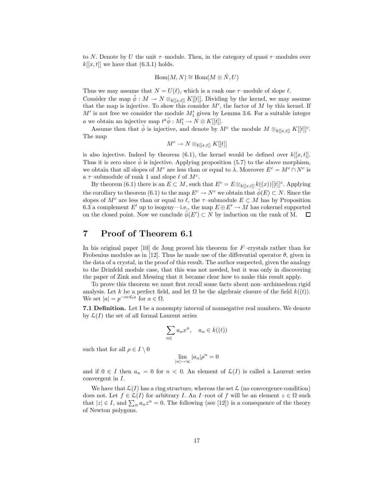to N. Denote by U the unit  $\tau$ -module. Then, in the category of quasi  $\tau$ -modules over  $k[[x, t]]$  we have that  $(6.3.1)$  holds.

$$
\operatorname{Hom}(M,N)\cong \operatorname{Hom}(M\otimes \hat{N},U)
$$

Thus we may assume that  $N = U(\ell)$ , which is a rank one  $\tau$ -module of slope  $\ell$ . Consider the map  $\hat{\phi}: M \to N \otimes_{k[[x,t]]} K[[t]]$ . Dividing by the kernel, we may assume that the map is injective. To show this consider  $M'$ , the factor of  $M$  by this kernel. If  $M'$  is not free we consider the module  $M'_{1}$  given by Lemma 3.6. For a suitable integer *a* we obtain an injective map  $t^a \hat{\phi}: M'_1 \to N \otimes K[[t]].$ 

Assume then that  $\hat{\phi}$  is injective, and denote by  $M^c$  the module  $M \otimes_{k[[x,t]]} K[[t]]^c$ . The map

$$
M^c \to N \otimes_{k[[x,t]]} K[[t]]
$$

is also injective. Indeed by theorem (6.1), the kernel would be defined over  $k[[x, t]]$ . Thus it is zero since  $\phi$  is injective. Applying proposition (5.7) to the above morphism, we obtain that all slopes of  $M^c$  are less than or equal to  $\lambda$ . Moreover  $E^c = M^c \cap N^c$  is a  $\tau$ -submodule of rank 1 and slope  $\ell$  of  $M^c$ .

By theorem (6.1) there is an  $E \subset M$ , such that  $E^c = E \otimes_{k[[x,t]]} k((x))[[t]]^c$ . Applying the corollary to theorem (6.1) to the map  $E^c \to N^c$  we obtain that  $\phi(E) \subset N$ . Since the slopes of  $M^c$  are less than or equal to  $\ell$ , the  $\tau$ –submodule  $E \subset M$  has by Proposition 6.3 a complement E' up to isogeny—i.e., the map  $E \oplus E' \to M$  has cokernel supported on the closed point. Now we conclude  $\hat{\phi}(E') \subset N$  by induction on the rank of M.  $\Box$ 

# 7 Proof of Theorem 6.1

In his original paper  $[10]$  de Jong proved his theorem for F–crystals rather than for Frobenius modules as in [12]. Thus he made use of the differential operator  $\theta$ , given in the data of a crystal, in the proof of this result. The author suspected, given the analogy to the Drinfeld module case, that this was not needed, but it was only in discovering the paper of Zink and Messing that it became clear how to make this result apply.

To prove this theorem we must first recall some facts about non–archimedean rigid analysis. Let k be a perfect field, and let  $\Omega$  be the algebraic closure of the field  $k((t))$ . We set  $|a| = p^{-ord_t a}$  for  $a \in \Omega$ .

7.1 Definition. Let I be a nonempty interval of nonnegative real numbers. We denote by  $\mathcal{L}(I)$  the set of all formal Laurent series

$$
\sum_{n \in} a_n x^n, \quad a_n \in k((t))
$$

such that for all  $\rho \in I \setminus 0$ 

$$
\lim_{|n| \to \infty} |a_n| \rho^n = 0
$$

and if  $0 \in I$  then  $a_n = 0$  for  $n < 0$ . An element of  $\mathcal{L}(I)$  is called a Laurent series convergent in I.

We have that  $\mathcal{L}(I)$  has a ring structure, whereas the set  $\mathcal{L}$  (no convergence condition) does not. Let  $f \in \mathcal{L}(I)$  for arbitrary I. An I-root of f will be an element  $z \in \Omega$  such that  $|z| \in I$ , and  $\sum_{n} a_n z^n = 0$ . The following (see [12]) is a consequence of the theory of Newton polygons.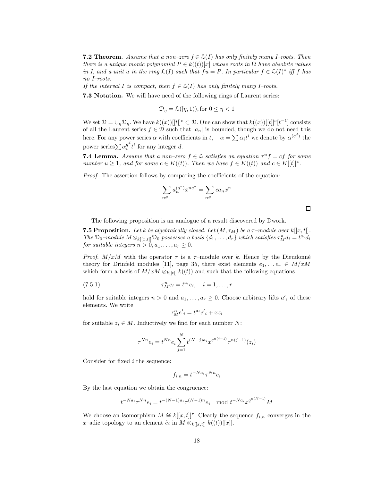**7.2 Theorem.** Assume that a non–zero  $f \in \mathcal{L}(I)$  has only finitely many I–roots. Then there is a unique monic polynomial  $P \in k((t))[x]$  whose roots in  $\Omega$  have absolute values in I, and a unit u in the ring  $\mathcal{L}(I)$  such that  $fu = P$ . In particular  $f \in \mathcal{L}(I)^*$  iff f has no I–roots.

If the interval I is compact, then  $f \in \mathcal{L}(I)$  has only finitely many I–roots.

7.3 Notation. We will have need of the following rings of Laurent series:

$$
\mathcal{D}_{\eta} = \mathcal{L}([\eta, 1)), \text{for } 0 \le \eta < 1
$$

We set  $\mathcal{D} = \bigcup_{\eta} \mathcal{D}_{\eta}$ . We have  $k((x))[[t]]^c \subset \mathcal{D}$ . One can show that  $k((x))[[t]]^c[t^{-1}]$  consists of all the Laurent series  $f \in \mathcal{D}$  such that  $|a_n|$  is bounded, though we do not need this here. For any power series  $\alpha$  with coefficients in  $t$ ,  $\alpha = \sum \alpha_i t^i$  we denote by  $\alpha^{(q^d)}$  the power series $\sum \alpha_i^{q^d}$  $i<sup>q<sup>a</sup></sup> t<sup>i</sup>$  for any integer d.

**7.4 Lemma.** Assume that a non-zero  $f \in \mathcal{L}$  satisfies an equation  $\tau^u f = cf$  for some number  $u \geq 1$ , and for some  $c \in K((t))$ . Then we have  $f \in K((t))$  and  $c \in K[[t]]^*$ .

Proof. The assertion follows by comparing the coefficients of the equation:

$$
\sum_{n \infty} a_n^{(q^u)} x^{nq^u} = \sum_{n \infty} c a_n x^n
$$

The following proposition is an analogue of a result discovered by Dwork.

**7.5 Proposition.** Let k be algebraically closed. Let  $(M, \tau_M)$  be a  $\tau$ -module over  $k[[x, t]]$ . The  $\mathcal{D}_0$ -module  $M \otimes_{k[[x,t]]} \mathcal{D}_0$  possesses a basis  $\{d_1, \ldots, d_r\}$  which satisfies  $\tau_M^n d_i = t^{a_i} d_i$ for suitable integers  $n > 0, a_1, \ldots, a_r \geq 0$ .

*Proof.*  $M/xM$  with the operator  $\tau$  is a  $\tau$ -module over k. Hence by the Dieudonné theory for Drinfeld modules [11], page 35, there exist elements  $e_1, \ldots e_r \in M/xM$ which form a basis of  $M/xM \otimes_{k[[t]]} k((t))$  and such that the following equations

(7.5.1) 
$$
\tau_M^n e_i = t^{a_i} e_i, \quad i = 1, \dots, r
$$

hold for suitable integers  $n > 0$  and  $a_1, \ldots, a_r \geq 0$ . Choose arbitrary lifts  $a'_i$  of these elements. We write

$$
\tau_M^n e'_i = t^{a_i} e'_i + x z_i
$$

for suitable  $z_i \in M$ . Inductively we find for each number N:

$$
\tau^{Nn} e_i = t^{Nn} e_i \sum_{j=1}^{N} t^{(N-j)a_i} x^{q^{n(j-1)}} \tau^{n(j-1)}(z_i)
$$

Consider for fixed i the sequence:

$$
f_{i,n} = t^{-Na_i} \tau^{Nn} e_i
$$

By the last equation we obtain the congruence:

$$
t^{-Na_i}\tau^{Nn}e_i = t^{-(N-1)a_i}\tau^{(N-1)n}e_i \mod t^{-Na_i}x^{q^{n(N-1)}}M
$$

We choose an isomorphism  $M \cong k[[x,t]]^r$ . Clearly the sequence  $f_{i,n}$  converges in the x-adic topology to an element  $\tilde{e}_i$  in  $M \otimes_{k[[x,t]]} k((t))[[x]]$ .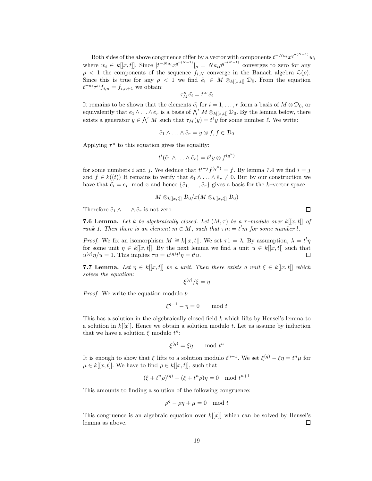Both sides of the above congruence differ by a vector with components  $t^{-Na_i}x^{q^{n(N-1)}}w_i$ where  $w_i \in k[[x,t]]$ . Since  $|t^{-Na_i}x^{q^{n(N-1)}}|_{\rho} = Na_i\rho^{q^{n(N-1)}}$  converges to zero for any  $\rho$  < 1 the components of the sequence  $f_{i,N}$  converge in the Banach algebra  $\mathcal{L}(\rho)$ . Since this is true for any  $\rho < 1$  we find  $\tilde{e}_i \in M \otimes_{k[[x,t]]} \mathcal{D}_0$ . From the equation  $t^{-a_i} \tau^n f_{i,n} = f_{i,n+1}$  we obtain:

$$
\tau_M^n \tilde{e_i} = t^{a_i} \tilde{e_i}
$$

It remains to be shown that the elements  $\tilde{e}_i$  for  $i = 1, \ldots, r$  form a basis of  $M \otimes \mathcal{D}_0$ , or equivalently that  $\tilde{e}_1 \wedge \ldots \wedge \tilde{e}_r$  is a basis of  $\bigwedge^r M \otimes_{k[[x,t]]} \mathcal{D}_0$ . By the lemma below, there exists a generator  $y \in \bigwedge^r M$  such that  $\tau_M(y) = t^{\ell}y$  for some number  $\ell$ . We write:

$$
\tilde{e}_1 \wedge \ldots \wedge \tilde{e}_r = y \otimes f, f \in \mathcal{D}_0
$$

Applying  $\tau^u$  to this equation gives the equality:

$$
t^{i}(\tilde{e}_1 \wedge \ldots \wedge \tilde{e}_r) = t^{j}y \otimes f^{(q^{u})}
$$

for some numbers i and j. We deduce that  $t^{i-j} f^{(q^u)} = f$ . By lemma 7.4 we find  $i = j$ and  $f \in k((t))$  It remains to verify that  $\tilde{e}_1 \wedge \ldots \wedge \tilde{e}_r \neq 0$ . But by our construction we have that  $\tilde{e}_i = e_i \mod x$  and hence  $\{\tilde{e}_1, \ldots, \tilde{e}_r\}$  gives a basis for the k–vector space

$$
M\otimes_{k[[x,t]]}\mathcal{D}_0/x(M\otimes_{k[[x,t]]}\mathcal{D}_0)
$$

Therefore  $\tilde{e}_1 \wedge \ldots \wedge \tilde{e}_r$  is not zero.

**7.6 Lemma.** Let k be algebraically closed. Let  $(M, \tau)$  be a  $\tau$ -module over k[[x, t]] of rank 1. Then there is an element  $m \in M$ , such that  $\tau m = t^l m$  for some number l.

*Proof.* We fix an isomorphism  $M \cong k[[x, t]]$ . We set  $\tau_1 = \lambda$ . By assumption,  $\lambda = t^l \eta$ for some unit  $\eta \in k[[x,t]]$ . By the next lemma we find a unit  $u \in k[[x,t]]$  such that  $u^{(q)}\eta/u = 1$ . This implies  $\tau u = u^{(q)}t^l\eta = t^l u$ . □

**7.7 Lemma.** Let  $\eta \in k[[x,t]]$  be a unit. Then there exists a unit  $\xi \in k[[x,t]]$  which solves the equation:

$$
\xi^{(q)}/\xi=\eta
$$

Proof. We write the equation modulo t:

$$
\xi^{q-1} - \eta = 0 \quad \mod t
$$

This has a solution in the algebraically closed field k which lifts by Hensel's lemma to a solution in  $k[[x]]$ . Hence we obtain a solution modulo t. Let us assume by induction that we have a solution  $\xi$  modulo  $t^n$ :

$$
\xi^{(q)} = \xi \eta \quad \mod t^n
$$

It is enough to show that  $\xi$  lifts to a solution modulo  $t^{n+1}$ . We set  $\xi^{(q)} - \xi \eta = t^n \mu$  for  $\mu \in k[[x, t]]$ . We have to find  $\rho \in k[[x, t]]$ , such that

$$
(\xi + t^n \rho)^{(q)} - (\xi + t^n \rho)\eta = 0 \mod t^{n+1}
$$

This amounts to finding a solution of the following congruence:

$$
\rho^q - \rho \eta + \mu = 0 \mod t
$$

This congruence is an algebraic equation over  $k[[x]]$  which can be solved by Hensel's lemma as above. □

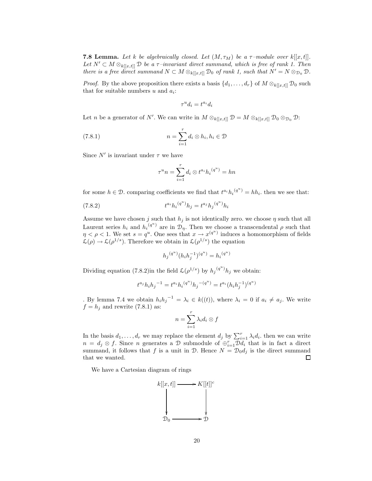**7.8 Lemma.** Let k be algebraically closed. Let  $(M, \tau_M)$  be a  $\tau$ -module over  $k[[x, t]]$ . Let  $N' \subset M \otimes_{k[[x,t]]} \mathcal{D}$  be a  $\tau$ -invariant direct summand, which is free of rank 1. Then there is a free direct summand  $N \subset M \otimes_{k[[x,t]]} \mathcal{D}_0$  of rank 1, such that  $N' = N \otimes_{\mathcal{D}_0} \mathcal{D}$ .

*Proof.* By the above proposition there exists a basis  $\{d_1, \ldots, d_r\}$  of  $M \otimes_{k[[x,t]]} \mathcal{D}_0$  such that for suitable numbers  $u$  and  $a_i$ :

$$
\tau^u d_i = t^{a_i} d_i
$$

Let *n* be a generator of N'. We can write in  $M \otimes_{k[[x,t]]} \mathcal{D} = M \otimes_{k[[x,t]]} \mathcal{D}_0 \otimes_{\mathcal{D}_0} \mathcal{D}$ :

(7.8.1) 
$$
n = \sum_{i=1}^{r} d_i \otimes h_i, h_i \in \mathcal{D}
$$

Since  $N'$  is invariant under  $\tau$  we have

$$
\tau^u n = \sum_{i=1}^r d_i \otimes t^{a_i} h_i^{(q^u)} = hn
$$

for some  $h \in \mathcal{D}$ . comparing coefficients we find that  $t^{a_i}h_i^{(q^u)} = hh_i$ . then we see that:

(7.8.2) 
$$
t^{a_i}h_i^{(q^u)}h_j = t^{a_j}h_j^{(q^u)}h_i
$$

Assume we have chosen j such that  $h_j$  is not identically zero. we choose  $\eta$  such that all Laurent series  $h_i$  and  $h_i^{(q^u)}$  are in  $\mathcal{D}_{\eta}$ . Then we choose a transcendental  $\rho$  such that  $\eta < \rho < 1$ . We set  $s = q^u$ . One sees that  $x \to x^{(q^u)}$  induces a homomorphism of fields  $\mathcal{L}(\rho) \to \mathcal{L}(\rho^{1/s})$ . Therefore we obtain in  $\mathcal{L}(\rho^{1/s})$  the equation

$$
h_j{}^{(q^u)}(h_i h_j^{-1})^{(q^u)} = {h_i}^{(q^u)}
$$

Dividing equation (7.8.2) in the field  $\mathcal{L}(\rho^{1/s})$  by  $h_j^{(q^u)}h_j$  we obtain:

$$
t^{a_j}h_ih_j{}^{-1} = t^{a_i}h_i{}^{(q^u)}h_j{}^{-(q^u)} = t^{a_i}(h_ih_j^{-1}){}^{(q^u)}
$$

. By lemma 7.4 we obtain  $h_i h_j^{-1} = \lambda_i \in k((t))$ , where  $\lambda_i = 0$  if  $a_i \neq a_j$ . We write  $f = h_j$  and rewrite (7.8.1) as:

$$
n = \sum_{i=1}^{r} \lambda_i d_i \otimes f
$$

In the basis  $d_1, \ldots, d_r$  we may replace the element  $d_j$  by  $\sum_{i=1}^r \lambda_i d_i$ , then we can write  $n = d_j \otimes f$ . Since *n* generates a D submodule of  $\oplus_{i=1}^r \mathcal{D}d_i$  that is in fact a direct summand, it follows that f is a unit in  $\mathcal{D}$ . Hence  $N = \mathcal{D}_0 d_j$  is the direct summand that we wanted. 口

We have a Cartesian diagram of rings

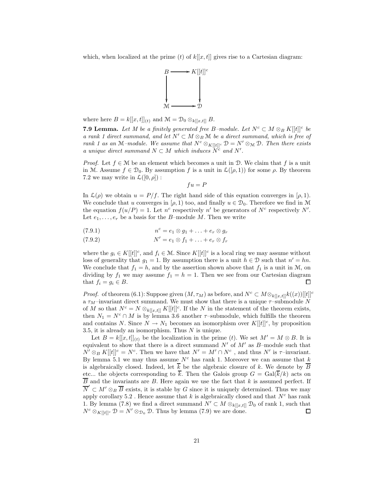which, when localized at the prime  $(t)$  of  $k[[x, t]]$  gives rise to a Cartesian diagram:



where here  $B = k[[x, t]]_{(t)}$  and  $\mathcal{M} = \mathcal{D}_0 \otimes_{k[[x, t]]} B$ .

**7.9 Lemma.** Let M be a finitely generated free B-module. Let  $N^c \subset M \otimes_B K[[t]]^c$  be a rank 1 direct summand, and let  $N' \subset M \otimes_B \mathcal{M}$  be a direct summand, which is free of rank 1 as an M–module. We assume that  $N^c \otimes_{K[[t]]^c} \mathcal{D} = N' \otimes_M \mathcal{D}$ . Then there exists a unique direct summand  $N \subset M$  which induces  $\widetilde{N}^c$  and  $N'$ .

*Proof.* Let  $f \in \mathcal{M}$  be an element which becomes a unit in D. We claim that f is a unit in M. Assume  $f \in \mathcal{D}_0$ . By assumption f is a unit in  $\mathcal{L}([\rho, 1))$  for some  $\rho$ . By theorem 7.2 we may write in  $\mathcal{L}([0,\rho]):$ 

 $fu = P$ 

In  $\mathcal{L}(\rho)$  we obtain  $u = P/f$ . The right hand side of this equation converges in  $(\rho, 1)$ . We conclude that u converges in  $(\rho, 1)$  too, and finally  $u \in \mathcal{D}_0$ . Therefore we find in M the equation  $f(u/P) = 1$ . Let  $n^c$  respectively  $n'$  be generators of  $N^c$  respectively N'. Let  $e_1, \ldots, e_r$  be a basis for the B-module M. Then we write

$$
(7.9.1) \t\t nc = e1 \otimes g1 + \ldots + er \otimes gr
$$

$$
(7.9.2) \t\t N' = e_1 \otimes f_1 + \ldots + e_r \otimes f_r
$$

where the  $g_i \in K[[t]]^c$ , and  $f_i \in \mathcal{M}$ . Since  $K[[t]]^c$  is a local ring we may assume without loss of generality that  $g_1 = 1$ . By assumption there is a unit  $h \in \mathcal{D}$  such that  $n' = hn$ . We conclude that  $f_1 = h$ , and by the assertion shown above that  $f_1$  is a unit in M, on dividing by  $f_1$  we may assume  $f_1 = h = 1$ . Then we see from our Cartesian diagram that  $f_i = g_i \in B$ .  $\Box$ 

*Proof.* of theorem (6.1): Suppose given  $(M, \tau_M)$  as before, and  $N^c \subset M \otimes_{k[[x,t]]} k((x))[[t]]^c$ a  $\tau_M$ –invariant direct summand. We must show that there is a unique  $\tau$ –submodule N of M so that  $N^c = N \otimes_{k[[x,t]]} K[[t]]^c$ . If the N in the statement of the theorem exists, then  $N_1 = N^c \cap M$  is by lemma 3.6 another  $\tau$ -submodule, which fulfills the theorem and contains N. Since  $N \to N_1$  becomes an isomorphism over  $K[[t]]^c$ , by proposition 3.5, it is already an isomorphism. Thus  $N$  is unique.

Let  $B = k[[x, t]]_{(t)}$  be the localization in the prime (t). We set  $M' = M \otimes B$ . It is equivalent to show that there is a direct summand  $N'$  of  $M'$  as  $B$ -module such that  $N' \otimes_B K[[t]]^c = N^c$ . Then we have that  $N' = M' \cap N^c$ , and thus  $N'$  is  $\tau$ -invariant. By lemma 5.1 we may thus assume  $N^c$  has rank 1. Moreover we can assume that k is algebraically closed. Indeed, let  $\overline{k}$  be the algebraic closure of k. We denote by  $\overline{B}$ etc... the objects corresponding to  $\overline{k}$ . Then the Galois group  $G = \text{Gal}(\overline{k}/k)$  acts on  $\overline{B}$  and the invariants are B. Here again we use the fact that k is assumed perfect. If  $\overline{N}' \subset M' \otimes_B \overline{B}$  exists, it is stable by G since it is uniquely determined. Thus we may apply corollary 5.2. Hence assume that k is algebraically closed and that  $N<sup>c</sup>$  has rank 1. By lemma (7.8) we find a direct summand  $N' \subset M \otimes_{k[[x,t]]} \mathcal{D}_0$  of rank 1, such that  $N^c \otimes_{K[[t]]^c} \mathcal{D} = N' \otimes_{\mathcal{D}_0} \mathcal{D}$ . Thus by lemma (7.9) we are done.  $\Box$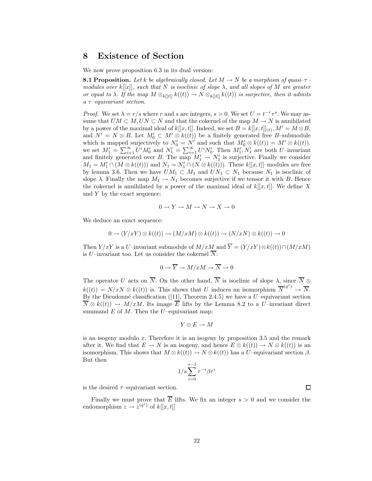# 8 Existence of Section

We now prove proposition 6.3 in its dual version:

**8.1 Proposition.** Let k be algebraically closed. Let  $M \to N$  be a morphism of quasi- $\tau$ modules over  $k[[x]]$ , such that N is isoclinic of slope  $\lambda$ , and all slopes of M are greater or equal to  $\lambda$ . If the map  $M \otimes_{k[[t]]} k((t)) \to N \otimes_{k[[t]]} k((t))$  is surjective, then it admits  $a \tau$ -equivariant section.

*Proof.* We set  $\lambda = r/s$  where r and s are integers,  $s > 0$ . We set  $U = t^{-r} \tau^s$ . We may assume that  $UM \subset M, UN \subset N$  and that the cokernel of the map  $M \to N$  is annihilated by a power of the maximal ideal of  $k[[x,t]]$ . Indeed, we set  $B = k[[x,t]]_{(t)}, M' = M \otimes B$ , and  $N' = N \otimes B$ . Let  $M'_0 \subset M' \otimes k((t))$  be a finitely generated free B-submodule which is mapped surjectively to  $N'_0 = N'$  and such that  $M'_0 \otimes k((t)) = M' \otimes k((t))$ . we set  $M'_1 = \sum_{i=1}^{\infty} U^i M'_0$  and  $N'_1 = \sum_{i=1}^{\infty} U^i N'_0$ . Then  $M'_1, N'_1$  are both U-invariant and finitely generated over B. The map  $M'_1 \to N'_1$  is surjective. Finally we consider  $M_1 = M'_1 \cap (M \otimes k((t)))$  and  $N_1 = N'_1 \cap (N \otimes k((t)))$ . These  $k[[x, t]]$ -modules are free by lemma 3.6. Then we have  $UM_1 \subset M_1$  and  $UN_1 \subset N_1$  because  $N_1$  is isoclinic of slope  $\lambda$ . Finally the map  $M_1 \to N_1$  becomes surjective if we tensor it with B. Hence the cokernel is annihilated by a power of the maximal ideal of  $k[[x, t]]$ . We define X and Y by the exact sequence:

$$
0 \to Y \to M \to N \to X \to 0
$$

We deduce an exact sequence:

$$
0 \to (Y/xY) \otimes k((t)) \to (M/xM) \otimes k((t)) \to (N/xN) \otimes k((t)) \to 0
$$

Then  $Y/xY$  is a U–invariant submodule of  $M/xM$  and  $\overline{Y} = (Y/xY) \otimes k((t)) \cap (M/xM)$ is U–invariant too. Let us consider the cokernel  $\overline{N}$ :

$$
0 \to \overline{Y} \to M/xM \to \overline{N} \to 0
$$

The operator U acts on  $\overline{N}$ . On the other hand,  $\overline{N}$  is isoclinic of slope  $\lambda$ , since  $\overline{N}$  ⊗  $k((t)) = N/xN \otimes k((t))$  is. This shows that U induces an isomorphism  $\overline{N}^{(q^{s})} \to \overline{N}$ . By the Dieudonné classification ([11], Theorem 2.4.5) we have a  $U$ –equivariant section  $\overline{N} \otimes k((t)) \to M/xM$ . Its image  $\overline{E}$  lifts by the Lemma 8.2 to a U–invariant direct summand  $E$  of  $M$ . Then the  $U$ –equivariant map:

$$
Y\oplus E\to M
$$

is an isogeny modulo  $x$ . Therefore it is an isogeny by proposition 3.5 and the remark after it. We find that  $E \to N$  is an isogeny, and hence  $E \otimes k((t)) \to N \otimes k((t))$  is an isomorphism. This shows that  $M \otimes k((t)) \to N \otimes k((t))$  has a U–equivariant section  $\beta$ . But then

$$
1/s \sum_{i=0}^{s-1} \tau^{-i} \beta \tau^i
$$

is the desired  $\tau$ –equivariant section.

Finally we must prove that  $\overline{E}$  lifts. We fix an integer  $s > 0$  and we consider the endomorphism  $z \to z^{(q^s)}$  of  $k[[x,t]]$ 

 $\Box$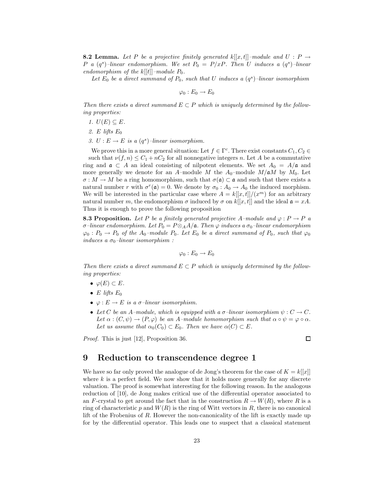**8.2 Lemma.** Let P be a projective finitely generated  $k[[x, t]]$ –module and  $U : P \rightarrow$ P a  $(q^s)$ -linear endomorphism. We set  $P_0 = P/xP$ . Then U induces a  $(q^s)$ -linear endomorphism of the  $k[[t]]$ -module  $P_0$ .

Let  $E_0$  be a direct summand of  $P_0$ , such that U induces a  $(q^s)$ -linear isomorphism

 $\varphi_0 : E_0 \to E_0$ 

Then there exists a direct summand  $E \subset P$  which is uniquely determined by the following properties:

- 1.  $U(E) \subseteq E$ .
- 2. E lifts  $E_0$
- 3.  $U: E \to E$  is a  $(q<sup>s</sup>)$ -linear isomorphism.

We prove this in a more general situation: Let  $f \in \Gamma^c$ . There exist constants  $C_1, C_2 \in$ such that  $\nu(f, n) \leq C_1 + nC_2$  for all nonnegative integers n. Let A be a commutative ring and  $\mathfrak{a} \subset A$  an ideal consisting of nilpotent elements. We set  $A_0 = A/\mathfrak{a}$  and more generally we denote for an A–module M the  $A_0$ –module  $M/\mathfrak{a}M$  by  $M_0$ . Let  $\sigma : M \to M$  be a ring homomorphism, such that  $\sigma(\mathfrak{a}) \subset \mathfrak{a}$  and such that there exists a natural number r with  $\sigma^r(\mathfrak{a}) = 0$ . We denote by  $\sigma_0 : A_0 \to A_0$  the induced morphism. We will be interested in the particular case where  $A = k[[x, t]]/(x^m)$  for an arbitrary natural number m, the endomorphism  $\sigma$  induced by  $\sigma$  on  $k[[x, t]]$  and the ideal  $\mathfrak{a} = xA$ . Thus it is enough to prove the following proposition

**8.3 Proposition.** Let P be a finitely generated projective A–module and  $\varphi : P \to P$  a σ–linear endomorphism. Let  $P_0 = P \otimes_A A/\mathfrak{a}$ . Then  $\varphi$  induces a σ<sub>0</sub>–linear endomorphism  $\varphi_0: P_0 \to P_0$  of the A<sub>0</sub>-module  $P_0$ . Let  $E_0$  be a direct summand of  $P_0$ , such that  $\varphi_0$ induces a  $\sigma_0$ -linear isomorphism :

$$
\varphi_0: E_0 \to E_0
$$

Then there exists a direct summand  $E \subset P$  which is uniquely determined by the following properties:

- $\varphi(E) \subset E$ .
- E lifts  $E_0$
- $\varphi : E \to E$  is a  $\sigma$ -linear isomorphism.
- Let C be an A–module, which is equipped with a  $\sigma$ -linear isomorphism  $\psi : C \to C$ . Let  $\alpha : (C, \psi) \to (P, \varphi)$  be an A-module homomorphism such that  $\alpha \circ \psi = \varphi \circ \alpha$ . Let us assume that  $\alpha_0(C_0) \subset E_0$ . Then we have  $\alpha(C) \subset E$ .

Proof. This is just [12], Proposition 36.

#### $\Box$

## 9 Reduction to transcendence degree 1

We have so far only proved the analogue of de Jong's theorem for the case of  $K = k[[x]]$ where  $k$  is a perfect field. We now show that it holds more generally for any discrete valuation. The proof is somewhat interesting for the following reason. In the analogous reduction of [10], de Jong makes critical use of the differential operator associated to an F-crystal to get around the fact that in the construction  $R \to W(R)$ , where R is a ring of characteristic p and  $W(R)$  is the ring of Witt vectors in R, there is no canonical lift of the Frobenius of R. However the non-canonicality of the lift is exactly made up for by the differential operator. This leads one to suspect that a classical statement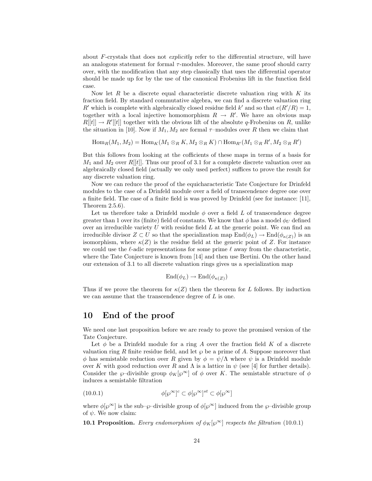about  $F$ -crystals that does not *explicitly* refer to the differential structure, will have an analogous statement for formal  $\tau$ -modules. Moreover, the same proof should carry over, with the modification that any step classically that uses the differential operator should be made up for by the use of the canonical Frobenius lift in the function field case.

Now let  $R$  be a discrete equal characteristic discrete valuation ring with  $K$  its fraction field. By standard commutative algebra, we can find a discrete valuation ring R' which is complete with algebraically closed residue field k' and so that  $e(R'/R) = 1$ , together with a local injective homomorphism  $R \to R'$ . We have an obvious map  $R[[t]] \to R'[[t]]$  together with the obvious lift of the absolute q-Frobenius on R, unlike the situation in [10]. Now if  $M_1, M_2$  are formal  $\tau$ -modules over R then we claim that

 $\operatorname{Hom}_R(M_1, M_2) = \operatorname{Hom}_K(M_1 \otimes_R K, M_2 \otimes_R K) \cap \operatorname{Hom}_{R'}(M_1 \otimes_R R', M_2 \otimes_R R')$ 

But this follows from looking at the cofficients of these maps in terms of a basis for  $M_1$  and  $M_2$  over  $R[[t]]$ . Thus our proof of 3.1 for a complete discrete valuation over an algebraically closed field (actually we only used perfect) suffices to prove the result for any discrete valuation ring.

Now we can reduce the proof of the equicharacteristic Tate Conjecture for Drinfeld modules to the case of a Drinfeld module over a field of transcendence degree one over a finite field. The case of a finite field is was proved by Drinfeld (see for instance: [11], Theorem 2.5.6).

Let us therefore take a Drinfeld module  $\phi$  over a field L of transcendence degree greater than 1 over its (finite) field of constants. We know that  $\phi$  has a model  $\phi_U$  defined over an irreducible variety  $U$  with residue field  $L$  at the generic point. We can find an irreducible divisor  $Z \subset U$  so that the specialization map  $\text{End}(\phi_L) \to \text{End}(\phi_{\kappa(Z)})$  is an isomorphism, where  $\kappa(Z)$  is the residue field at the generic point of Z. For instance we could use the  $\ell$ -adic representations for some prime  $\ell$  away from the characteristic, where the Tate Conjecture is known from [14] and then use Bertini. On the other hand our extension of 3.1 to all discrete valuation rings gives us a specialization map

$$
End(\phi_L) \to End(\phi_{\kappa(Z)})
$$

Thus if we prove the theorem for  $\kappa(Z)$  then the theorem for L follows. By induction we can assume that the transcendence degree of  $L$  is one.

# 10 End of the proof

We need one last proposition before we are ready to prove the promised version of the Tate Conjecture.

Let  $\phi$  be a Drinfeld module for a ring A over the fraction field K of a discrete valuation ring R finite residue field, and let  $\wp$  be a prime of A. Suppose moreover that φ has semistable reduction over R given by  $φ = ψ/Λ$  where  $ψ$  is a Drinfeld module over K with good reduction over R and  $\Lambda$  is a lattice in  $\psi$  (see [4] for further details). Consider the  $\wp$ –divisible group  $\phi_K[\wp^\infty]$  of  $\phi$  over K. The semistable structure of  $\phi$ induces a semistable filtration

(10.0.1) 
$$
\phi[\wp^{\infty}]^c \subset \phi[\wp^{\infty}]^{st} \subset \phi[\wp^{\infty}]
$$

where  $\phi[\wp^{\infty}]$  is the sub– $\wp$ –divisible group of  $\phi[\wp^{\infty}]$  induced from the  $\wp$ –divisible group of  $\psi$ . We now claim:

**10.1 Proposition.** Every endomorphism of  $\phi_K[\wp^\infty]$  respects the filtration (10.0.1)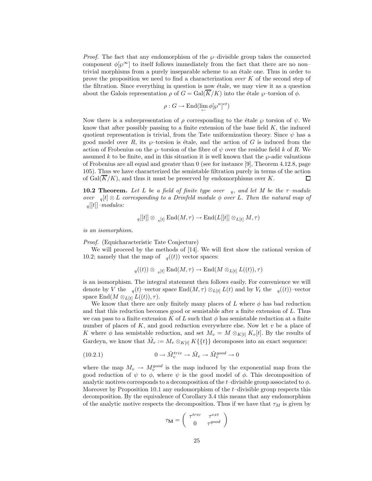*Proof.* The fact that any endomorphism of the  $\wp$ –divisible group takes the connected component  $\phi[\varphi^{\infty}]$  to itself follows immediately from the fact that there are no nontrivial morphisms from a purely inseparable scheme to an ´etale one. Thus in order to prove the proposition we need to find a characterization *over*  $K$  of the second step of the filtration. Since everything in question is now étale, we may view it as a question about the Galois representation  $\rho$  of  $G = \text{Gal}(\overline{K}/K)$  into the étale  $\varphi$ -torsion of  $\phi$ .

$$
\rho: G \to \text{End}(\lim_{\leftarrow} \phi[\wp^n]^{et})
$$

Now there is a subrepresentation of  $\rho$  corresponding to the étale  $\wp$  torsion of  $\psi$ . We know that after possibly passing to a finite extension of the base field  $K$ , the induced quotient representation is trivial, from the Tate uniformization theory. Since  $\psi$  has a good model over R, its  $\wp$ -torsion is étale, and the action of G is induced from the action of Frobenius on the  $\wp$ –torsion of the fibre of  $\psi$  over the residue field k of R. We assumed k to be finite, and in this situation it is well known that the  $\wp$ -adic valuations of Frobenius are all equal and greater than 0 (see for instance [9], Theorem 4.12.8, page 105). Thus we have characterized the semistable filtration purely in terms of the action of Gal $(\overline{K}/K)$ , and thus it must be preserved by endomorphisms over K. □

**10.2 Theorem.** Let L be a field of finite type over  $\alpha$ , and let M be the  $\tau$ -module over  $\sigma_q[t] \otimes L$  corresponding to a Drinfeld module  $\phi$  over L. Then the natural map of  $_q[[t]]$ –modules:

$$
q[[t]] \otimes q[t] \text{End}(M, \tau) \to \text{End}(L[[t]] \otimes_{L[t]} M, \tau)
$$

is an isomorphism.

Proof. (Equicharacteristic Tate Conjecture)

We will proceed by the methods of [14]. We will first show the rational version of 10.2; namely that the map of  $_q((t))$  vector spaces:

$$
q((t)) \otimes q[t] \text{ End}(M, \tau) \to \text{End}(M \otimes_{L[t]} L((t)), \tau)
$$

is an isomorphism. The integral statement then follows easily. For convenience we will denote by V the  $_q(t)$ –vector space End $(M, \tau) \otimes_{L[t]} L(t)$  and by  $V_t$  the  $_q((t))$ –vector space End $(M \otimes_{L[t]} L((t)), \tau).$ 

We know that there are only finitely many places of L where  $\phi$  has bad reduction and that this reduction becomes good or semistable after a finite extension of L. Thus we can pass to a finite extension K of L such that  $\phi$  has semistable reduction at a finite number of places of  $K$ , and good reduction everywhere else. Now let  $v$  be a place of K where  $\phi$  has semistable reduction, and set  $M_v = M \otimes_{K[t]} K_v[t]$ . By the results of Gardeyn, we know that  $\tilde{M}_v := M_v \otimes_{K[t]} K({t}$  decomposes into an exact sequence:

(10.2.1) 
$$
0 \to \tilde{M}_v^{triv} \to \tilde{M}_v \to \tilde{M}_v^{good} \to 0
$$

where the map  $M_v \to M_v^{good}$  is the map induced by the exponential map from the good reduction of  $\psi$  to  $\phi$ , where  $\psi$  is the good model of  $\phi$ . This decomposition of analytic motives corresponds to a decomposition of the t–divisible group associated to  $\phi$ . Moreover by Proposition 10.1 any endomorphism of the t–divisible group respects this decomposition. By the equivalence of Corollary 3.4 this means that any endomorphism of the analytic motive respects the decomposition. Thus if we have that  $\tau_M$  is given by

$$
\tau_{\mathbf{M}} = \left( \begin{array}{cc} \tau^{triv} & \tau^{ext} \\ 0 & \tau^{good} \end{array} \right)
$$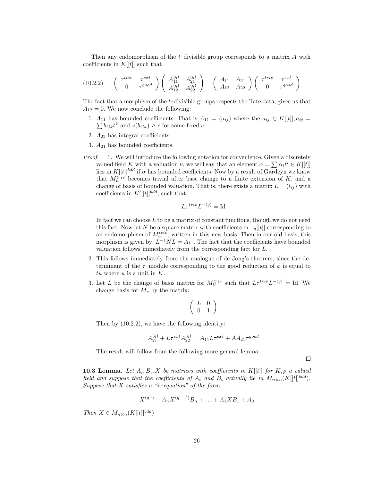Then any endomorphism of the  $t$ -divisible group corresponds to a matrix  $A$  with coefficients in  $K[[t]]$  such that

$$
(10.2.2) \qquad \begin{pmatrix} \tau^{triv} & \tau^{ext} \\ 0 & \tau^{good} \end{pmatrix} \begin{pmatrix} A_{11}^{(q)} & A_{21}^{(q)} \\ A_{12}^{(q)} & A_{22}^{(q)} \end{pmatrix} = \begin{pmatrix} A_{11} & A_{21} \\ A_{12} & A_{22} \end{pmatrix} \begin{pmatrix} \tau^{triv} & \tau^{ext} \\ 0 & \tau^{good} \end{pmatrix}
$$

The fact that a morphism of the t–divisible groups respects the Tate data, gives us that  $A_{12} = 0$ . We now conclude the following:

- 1.  $A_{11}$  has bounded coefficients. That is  $A_{11} = (a_{ij})$  where the  $a_{ij} \in K[[t]], a_{ij} =$  $\sum b_{ijk}t^k$  and  $v(b_{ijk}) \geq c$  for some fixed c.
- 2.  $A_{22}$  has integral coefficients.
- 3.  $A_{21}$  has bounded coefficients.
- Proof. 1. We will introduce the following notation for convenience. Given a discretely valued field K with a valuation  $\nu$ , we will say that an element  $\alpha = \sum \alpha_i t^i \in K[[t]]$ lies in  $K[[t]]^{bdd}$  if  $\alpha$  has bounded coefficients. Now by a result of Gardeyn we know that  $M_n^{triv}$  becomes trivial after base change to a finite extension of K, and a change of basis of bounded valuation. That is, there exists a matrix  $L = (l_{ij})$  with coefficients in  $K'[[t]]^{bdd}$ , such that

$$
L\tau^{triv}L^{-(q)} = \text{Id}
$$

In fact we can choose  $L$  to be a matrix of constant functions, though we do not need this fact. Now let N be a square matrix with coefficients in  $_q[[t]]$  corresponding to an endomorphism of  $M_v^{triv}$ , written in this new basis. Then in our old basis, this morphism is given by:  $L^{-1}NL = A_{11}$ . The fact that the coefficients have bounded valuation follows immediately from the corresponding fact for L.

- 2. This follows immediately from the analogue of de Jong's theorem, since the determinant of the  $\tau$ -module corresponding to the good reduction of  $\phi$  is equal to tu where  $u$  is a unit in  $K$ .
- 3. Let L be the change of basis matrix for  $M_V^{triv}$  such that  $L\tau^{triv}L^{-(q)} = \text{Id}$ . We change basis for  $M_v$  by the matrix:

$$
\left(\begin{array}{cc} L & 0 \\ 0 & 1 \end{array}\right)
$$

Then by (10.2.2), we have the following identity:

$$
A_{21}^{(q)} + L\tau^{ext}A_{22}^{(q)} = A_{11}L\tau^{ext} + AA_{21}\tau^{good}
$$

 $\Box$ 

The result will follow from the following more general lemma.

**10.3 Lemma.** Let  $A_i, B_i, X$  be matrices with coefficients in  $K[[t]]$  for  $K, \rho$  a valued field and suppose that the coefficients of  $A_i$  and  $B_i$  actually lie in  $M_{n\times n}(K[[t]]^{bdd}).$ Suppose that X satisfies a " $\tau$ -equation" of the form:

$$
X^{(q^n)} + A_n X^{(q^{n-1})} B_n + \ldots + A_1 X B_1 + A_0
$$

Then  $X \in M_{n \times n}(K[[t]]^{bdd})$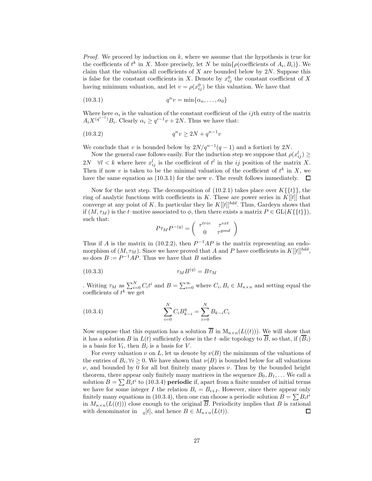*Proof.* We proceed by induction on  $k$ , where we assume that the hypothesis is true for the coefficients of  $t^k$  in X. More precisely, let N be  $\min\{\rho(\text{coefficients of } A_i, B_i)\}\.$  We claim that the valuation all coefficients of  $X$  are bounded below by  $2N$ . Suppose this is false for the constant coefficients in X. Denote by  $x_{ij}^0$  the constant coefficient of X having minimum valuation, and let  $v = \rho(x_{ij}^0)$  be this valuation. We have that

$$
(10.3.1) \t\t qnv = \min\{\alpha_n, \dots, \alpha_0\}
$$

Where here  $\alpha_i$  is the valuation of the constant coefficient of the *ij*th entry of the matrix  $A_i X^{(q^{i-1})} B_i$ . Clearly  $\alpha_i \ge q^{i-1} v + 2N$ . Thus we have that:

$$
(10.3.2) \t\t q^n v \ge 2N + q^{n-1}v
$$

We conclude that v is bounded below by  $2N/q^{n-1}(q-1)$  and a fortiori by  $2N$ .

Now the general case follows easily. For the induction step we suppose that  $\rho(x_{ij}^l) \geq$ 2N  $\forall l < k$  where here  $x_{ij}^l$  is the coefficient of  $t^l$  in the ij position of the matrix X. Then if now v is taken to be the minimal valuation of the coefficient of  $t^k$  in X, we have the same equation as  $(10.3.1)$  for the new v. The result follows immediately.  $\Box$ 

Now for the next step. The decomposition of  $(10.2.1)$  takes place over  $K\{\{t\}\}\,$ , the ring of analytic functions with coefficients in K. These are power series in  $K[[t]]$  that converge at any point of K. In particular they lie  $K[[t]]^{bdd}$ . Thus, Gardeyn shows that if  $(M, \tau_M)$  is the t–motive associated to  $\phi$ , then there exists a matrix  $P \in GL(K\{\{t\}\}),$ such that:

$$
P\tau_M P^{-(q)} = \left( \begin{array}{cc} \tau^{triv} & \tau^{ext} \\ 0 & \tau^{good} \end{array} \right)
$$

Thus if A is the matrix in (10.2.2), then  $P^{-1}AP$  is the matrix representing an endomorphism of  $(M, \tau_M)$ . Since we have proved that A and P have coefficients in  $K[[t]]^{bdd}$ , so does  $B := P^{-1}AP$ . Thus we have that B satisfies

$$
\tau_M B^{(q)} = B \tau_M
$$

Writing  $\tau_M$  as  $\sum_{i=0}^N C_i t^i$  and  $B = \sum_{i=0}^{\infty}$  where  $C_i, B_i \in M_{n \times n}$  and setting equal the coefficients of  $t^k$  we get

(10.3.4) 
$$
\sum_{i=0}^{N} C_i B_{k-i}^q = \sum_{i=0}^{N} B_{k-i} C_i
$$

Now suppose that this equation has a solution  $\overline{B}$  in  $M_{n\times n}(L((t)))$ . We will show that it has a solution B in  $L(t)$  sufficiently close in the t-adic topology to  $\overline{B}$ , so that, if  $(\overline{B}_i)$ is a basis for  $V_t$ , then  $B_i$  is a basis for V.

For every valuation  $\nu$  on L, let us denote by  $\nu(B)$  the minimum of the valuations of the entries of  $B_i, \forall i \geq 0$ . We have shown that  $\nu(B)$  is bounded below for all valuations  $\nu$ , and bounded by 0 for all but finitely many places  $\nu$ . Thus by the bounded height theorem, there appear only finitely many matrices in the sequence  $B_0, B_1, \ldots$  We call a solution  $B = \sum B_i t^i$  to (10.3.4) **periodic** if, apart from a finite number of initial terms we have for some integer I the relation  $B_i = B_{i+I}$ . However, since there appear only finitely many equations in (10.3.4), then one can choose a periodic solution  $B = \sum B_i t^i$ in  $M_{n\times n}(L((t)))$  close enough to the original  $\overline{B}$ . Periodicity implies that B is rational with denominator in  $_q[t]$ , and hence  $B \in M_{n \times n}(L(t))$ . 口